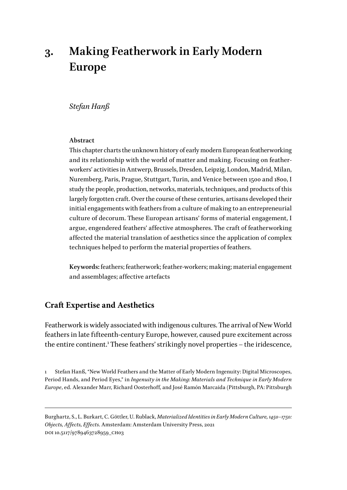# **3. Making Featherwork in Early Modern Europe**

## *Stefan Hanß*

#### **Abstract**

This chapter charts the unknown history of early modern European featherworking and its relationship with the world of matter and making. Focusing on featherworkers' activities in Antwerp, Brussels, Dresden, Leipzig, London, Madrid, Milan, Nuremberg, Paris, Prague, Stuttgart, Turin, and Venice between 1500 and 1800, I study the people, production, networks, materials, techniques, and products of this largely forgotten craft. Over the course of these centuries, artisans developed their initial engagements with feathers from a culture of making to an entrepreneurial culture of decorum. These European artisans' forms of material engagement, I argue, engendered feathers' affective atmospheres. The craft of featherworking affected the material translation of aesthetics since the application of complex techniques helped to perform the material properties of feathers.

**Keywords:** feathers; featherwork; feather-workers; making; material engagement and assemblages; affective artefacts

# **Craft Expertise and Aesthetics**

Featherwork is widely associated with indigenous cultures. The arrival of New World feathers in late fifteenth-century Europe, however, caused pure excitement across the entire continent.<sup>1</sup> These feathers' strikingly novel properties – the iridescence,

1 Stefan Hanß, "New World Feathers and the Matter of Early Modern Ingenuity: Digital Microscopes, Period Hands, and Period Eyes," in *Ingenuity in the Making: Materials and Technique in Early Modern Europe*, ed. Alexander Marr, Richard Oosterhoff, and José Ramón Marcaida (Pittsburgh, PA: Pittsburgh

Burghartz, S., L. Burkart, C. Göttler, U. Rublack, *Materialized Identities in Early Modern Culture, 1450–1750: Objects, Affects, Effects*. Amsterdam: Amsterdam University Press, 2021 DOI 10.5117/9789463728959\_CH03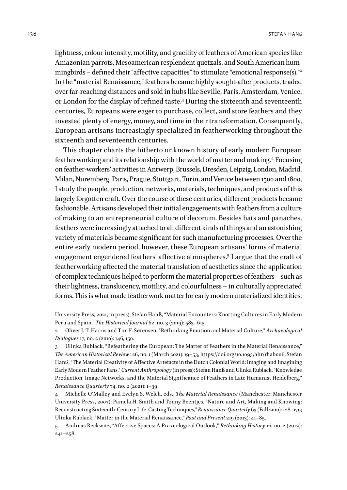lightness, colour intensity, motility, and gracility of feathers of American species like Amazonian parrots, Mesoamerican resplendent quetzals, and South American hummingbirds – defined their "affective capacities" to stimulate "emotional response(s)."2 In the "material Renaissance," feathers became highly sought-after products, traded over far-reaching distances and sold in hubs like Seville, Paris, Amsterdam, Venice, or London for the display of refined taste.3 During the sixteenth and seventeenth centuries, Europeans were eager to purchase, collect, and store feathers and they invested plenty of energy, money, and time in their transformation. Consequently, European artisans increasingly specialized in featherworking throughout the sixteenth and seventeenth centuries.

This chapter charts the hitherto unknown history of early modern European featherworking and its relationship with the world of matter and making.<sup>4</sup> Focusing on feather-workers' activities in Antwerp, Brussels, Dresden, Leipzig, London, Madrid, Milan, Nuremberg, Paris, Prague, Stuttgart, Turin, and Venice between 1500 and 1800, I study the people, production, networks, materials, techniques, and products of this largely forgotten craft. Over the course of these centuries, different products became fashionable. Artisans developed their initial engagements with feathers from a culture of making to an entrepreneurial culture of decorum. Besides hats and panaches, feathers were increasingly attached to all different kinds of things and an astonishing variety of materials became significant for such manufacturing processes. Over the entire early modern period, however, these European artisans' forms of material engagement engendered feathers' affective atmospheres.5 I argue that the craft of featherworking affected the material translation of aesthetics since the application of complex techniques helped to perform the material properties of feathers – such as their lightness, translucency, motility, and colourfulness – in culturally appreciated forms. This is what made featherwork matter for early modern materialized identities.

University Press, 2021, in press); Stefan Hanß, "Material Encounters: Knotting Cultures in Early Modern Peru and Spain," *The Historical Journal* 62, no. 3 (2019): 583–615.

<sup>2</sup> Oliver J. T. Harris and Tim F. Sørensen, "Rethinking Emotion and Material Culture," *Archaeological Dialogues* 17, no. 2 (2010): 146, 150.

<sup>3</sup> Ulinka Rublack, "Befeathering the European: The Matter of Feathers in the Material Renaissance," *The American Historical Review* 126, no. 1 (March 2021): 19–53, https://doi.org/10.1093/ahr/rhab006; Stefan Hanß, "The Material Creativity of Affective Artefacts in the Dutch Colonial World: Imaging and Imagining Early Modern Feather Fans," *Current Anthropology* (in press); Stefan Hanß and Ulinka Rublack, "Knowledge Production, Image Networks, and the Material Significance of Feathers in Late Humanist Heidelberg," *Renaissance Quarterly* 74, no. 2 (2021): 1–39.

<sup>4</sup> Michelle O'Malley and Evelyn S. Welch, eds., *The Material Renaissance* (Manchester: Manchester University Press, 2007); Pamela H. Smith and Tonny Beentjes, "Nature and Art, Making and Knowing: Reconstructing Sixteenth-Century Life-Casting Techniques," *Renaissance Quarterly* 63 (Fall 2010): 128–179; Ulinka Rublack, "Matter in the Material Renaissance," *Past and Present* 219 (2013): 41–85.

<sup>5</sup> Andreas Reckwitz, "Affective Spaces: A Praxeological Outlook," *Rethinking History* 16, no. 2 (2012): 241–258.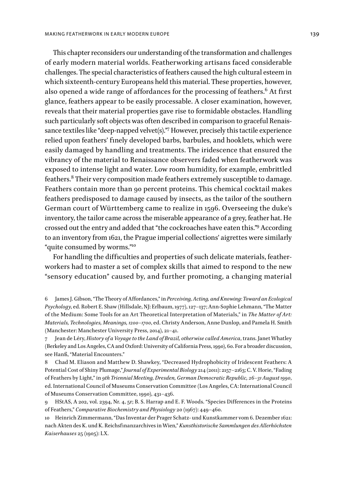This chapter reconsiders our understanding of the transformation and challenges of early modern material worlds. Featherworking artisans faced considerable challenges. The special characteristics of feathers caused the high cultural esteem in which sixteenth-century Europeans held this material. These properties, however, also opened a wide range of affordances for the processing of feathers. $6$  At first glance, feathers appear to be easily processable. A closer examination, however, reveals that their material properties gave rise to formidable obstacles. Handling such particularly soft objects was often described in comparison to graceful Renaissance textiles like "deep-napped velvet(s)."7 However, precisely this tactile experience relied upon feathers' finely developed barbs, barbules, and hooklets, which were easily damaged by handling and treatments. The iridescence that ensured the vibrancy of the material to Renaissance observers faded when featherwork was exposed to intense light and water. Low room humidity, for example, embrittled feathers.<sup>8</sup> Their very composition made feathers extremely susceptible to damage. Feathers contain more than 90 percent proteins. This chemical cocktail makes feathers predisposed to damage caused by insects, as the tailor of the southern German court of Württemberg came to realize in 1596. Overseeing the duke's inventory, the tailor came across the miserable appearance of a grey, feather hat. He crossed out the entry and added that "the cockroaches have eaten this."9 According to an inventory from 1621, the Prague imperial collections' aigrettes were similarly "quite consumed by worms."10

For handling the difficulties and properties of such delicate materials, featherworkers had to master a set of complex skills that aimed to respond to the new "sensory education" caused by, and further promoting, a changing material

8 Chad M. Eliason and Matthew D. Shawkey, "Decreased Hydrophobicity of Iridescent Feathers: A Potential Cost of Shiny Plumage," *Journal of Experimental Biology* 214 (2011): 2157–2163; C. V. Horie, "Fading of Feathers by Light," in *9th Triennial Meeting, Dresden, German Democratic Republic, 26–31 August 1990*, ed. International Council of Museums Conservation Committee (Los Angeles, CA: International Council of Museums Conservation Committee, 1990), 431–436.

9 HStAS, A 202, vol. 2394, Nr. 4, 5r; B. S. Harrap and E. F. Woods. "Species Differences in the Proteins of Feathers," *Comparative Biochemistry and Physiology* 20 (1967): 449–460.

10 Heinrich Zimmermann, "Das Inventar der Prager Schatz- und Kunstkammer vom 6. Dezember 1621: nach Akten des K. und K. Reichsfinanzarchives in Wien," *Kunsthistorische Sammlungen des Allerhöchsten Kaiserhauses* 25 (1905): LX.

<sup>6</sup> James J. Gibson, "The Theory of Affordances," in *Perceiving, Acting, and Knowing: Toward an Ecological Psychology*, ed. Robert E. Shaw (Hillsdale, NJ: Erlbaum, 1977), 127–137; Ann-Sophie Lehmann, "The Matter of the Medium: Some Tools for an Art Theoretical Interpretation of Materials," in *The Matter of Art: Materials, Technologies, Meanings, 1200–1700*, ed. Christy Anderson, Anne Dunlop, and Pamela H. Smith (Manchester: Manchester University Press, 2014), 21–41.

<sup>7</sup> Jean de Léry, *History of a Voyage to the Land of Brazil, otherwise called America*, trans. Janet Whatley (Berkeley and Los Angeles, CA and Oxford: University of California Press, 1990), 60. For a broader discussion, see Hanß, "Material Encounters."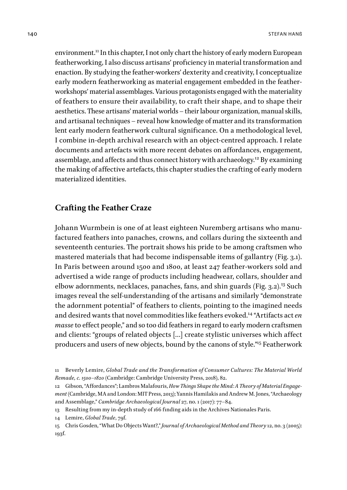environment.<sup>11</sup> In this chapter, I not only chart the history of early modern European featherworking, I also discuss artisans' proficiency in material transformation and enaction. By studying the feather-workers' dexterity and creativity, I conceptualize early modern featherworking as material engagement embedded in the featherworkshops' material assemblages. Various protagonists engaged with the materiality of feathers to ensure their availability, to craft their shape, and to shape their aesthetics. These artisans' material worlds – their labour organization, manual skills, and artisanal techniques – reveal how knowledge of matter and its transformation lent early modern featherwork cultural significance. On a methodological level, I combine in-depth archival research with an object-centred approach. I relate documents and artefacts with more recent debates on affordances, engagement, assemblage, and affects and thus connect history with archaeology.<sup>12</sup> By examining the making of affective artefacts, this chapter studies the crafting of early modern materialized identities.

## **Crafting the Feather Craze**

Johann Wurmbein is one of at least eighteen Nuremberg artisans who manufactured feathers into panaches, crowns, and collars during the sixteenth and seventeenth centuries. The portrait shows his pride to be among craftsmen who mastered materials that had become indispensable items of gallantry (Fig. 3.1). In Paris between around 1500 and 1800, at least 247 feather-workers sold and advertised a wide range of products including headwear, collars, shoulder and elbow adornments, necklaces, panaches, fans, and shin guards (Fig. 3.2).<sup>13</sup> Such images reveal the self-understanding of the artisans and similarly "demonstrate the adornment potential" of feathers to clients, pointing to the imagined needs and desired wants that novel commodities like feathers evoked.14 "Artifacts act *en masse* to effect people," and so too did feathers in regard to early modern craftsmen and clients: "groups of related objects […] create stylistic universes which affect producers and users of new objects, bound by the canons of style."15 Featherwork

<sup>11</sup> Beverly Lemire, *Global Trade and the Transformation of Consumer Cultures: The Material World Remade, c. 1500–1820* (Cambridge: Cambridge University Press, 2018), 82.

<sup>12</sup> Gibson, "Affordances"; Lambros Malafouris, *How Things Shape the Mind: A Theory of Material Engagement* (Cambridge, MA and London: MIT Press, 2013); Yannis Hamilakis and Andrew M. Jones, "Archaeology and Assemblage," *Cambridge Archaeological Journal* 27, no. 1 (2017): 77–84.

<sup>13</sup> Resulting from my in-depth study of 166 finding aids in the Archives Nationales Paris.

<sup>14</sup> Lemire, *Global Trade*, 79f.

<sup>15</sup> Chris Gosden, "What Do Objects Want?," *Journal of Archaeological Method and Theory* 12, no. 3 (2005): 193f.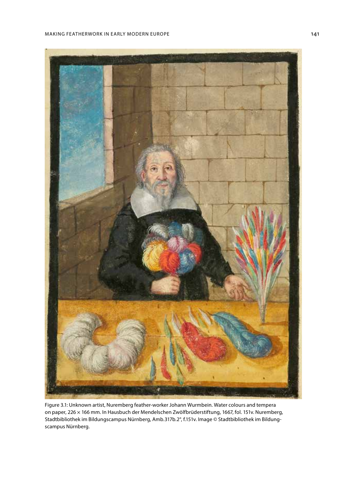



Figure 3.1: Unknown artist, Nuremberg feather-worker Johann Wurmbein. Water colours and tempera on paper, 226 × 166 mm. In Hausbuch der Mendelschen Zwölfbrüderstiftung, 1667, fol. 151v. Nuremberg, Stadtbibliothek im Bildungscampus Nürnberg, Amb.317b.2°, f.151v. Image © Stadtbibliothek im Bildungscampus Nürnberg.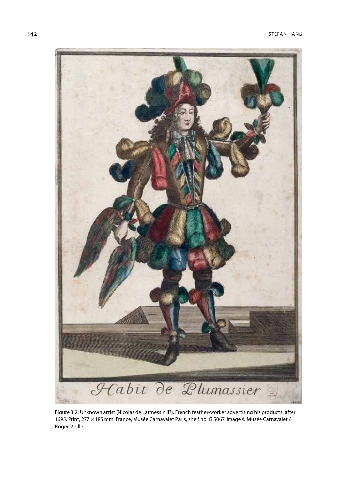

Figure 3.2: Unknown artist (Nicolas de Larmessin II?), French feather-worker advertising his products, after 1695. Print, 277 × 185 mm. France, Musée Carnavalet Paris, shelf no. G.5067. Image © Musée Carnavalet / Roger-Viollet.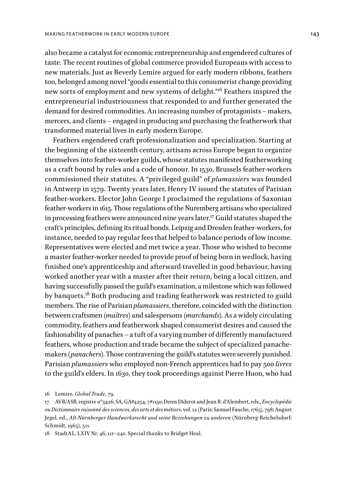also became a catalyst for economic entrepreneurship and engendered cultures of taste. The recent routines of global commerce provided Europeans with access to new materials. Just as Beverly Lemire argued for early modern ribbons, feathers too, belonged among novel "goods essential to this consumerist change providing new sorts of employment and new systems of delight."16 Feathers inspired the entrepreneurial industriousness that responded to and further generated the demand for desired commodities. An increasing number of protagonists – makers, mercers, and clients – engaged in producing and purchasing the featherwork that transformed material lives in early modern Europe.

Feathers engendered craft professionalization and specialization. Starting at the beginning of the sixteenth century, artisans across Europe began to organize themselves into feather-worker guilds, whose statutes manifested featherworking as a craft bound by rules and a code of honour. In 1530, Brussels feather-workers commissioned their statutes. A "privileged guild" of *plumassiers* was founded in Antwerp in 1579. Twenty years later, Henry IV issued the statutes of Parisian feather-workers. Elector John George I proclaimed the regulations of Saxonian feather-workers in 1615. Those regulations of the Nuremberg artisans who specialized in processing feathers were announced nine years later.17 Guild statutes shaped the craft's principles, defining its ritual bonds. Leipzig and Dresden feather-workers, for instance, needed to pay regular fees that helped to balance periods of low income. Representatives were elected and met twice a year. Those who wished to become a master feather-worker needed to provide proof of being born in wedlock, having finished one's apprenticeship and afterward travelled in good behaviour, having worked another year with a master after their return, being a local citizen, and having successfully passed the guild's examination, a milestone which was followed by banquets.18 Both producing and trading featherwork was restricted to guild members. The rise of Parisian *plumassiers*, therefore, coincided with the distinction between craftsmen (*maîtres*) and salespersons (*marchands*). As a widely circulating commodity, feathers and featherwork shaped consumerist desires and caused the fashionability of panaches – a tuft of a varying number of differently manufactured feathers, whose production and trade became the subject of specialized panachemakers (*panachers*). Those contravening the guild's statutes were severely punished. Parisian *plumassiers* who employed non-French apprentices had to pay 500 *livres* to the guild's elders. In 1630, they took proceedings against Pierre Huon, who had

18 StadtAL, LXIV Nr. 46, 11r–24v. Special thanks to Bridget Heal.

<sup>16</sup> Lemire, *Global Trade*, 79.

<sup>17</sup> AVB/ASB, registre no3426; SA, GA#4254, 7#1150; Denis Diderot and Jean B. d'Alembert, eds., *Encyclopédie ou Dictionnaire raisonné des sciences, des arts et des métiers*, vol. 12 (Paris: Samuel Fauche, 1765), 798; August Jegel, ed., *Alt-Nürnberger Handwerksrecht und seine Beziehungen zu anderen* (Nürnberg-Reichelsdorf: Schmidt, 1965), 511.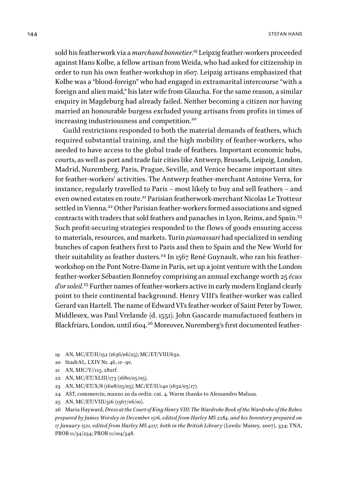sold his featherwork via a *marchand bonnetier*. 19 Leipzig feather-workers proceeded against Hans Kolbe, a fellow artisan from Weida, who had asked for citizenship in order to run his own feather-workshop in 1607. Leipzig artisans emphasized that Kolbe was a "blood-foreign" who had engaged in extramarital intercourse "with a foreign and alien maid," his later wife from Glaucha. For the same reason, a similar enquiry in Magdeburg had already failed. Neither becoming a citizen nor having married an honourable burgess excluded young artisans from profits in times of increasing industriousness and competition.<sup>20</sup>

Guild restrictions responded to both the material demands of feathers, which required substantial training, and the high mobility of feather-workers, who needed to have access to the global trade of feathers. Important economic hubs, courts, as well as port and trade fair cities like Antwerp, Brussels, Leipzig, London, Madrid, Nuremberg, Paris, Prague, Seville, and Venice became important sites for feather-workers' activities. The Antwerp feather-merchant Antoine Verra, for instance, regularly travelled to Paris – most likely to buy and sell feathers – and even owned estates en route.<sup>21</sup> Parisian featherwork-merchant Nicolas Le Trotteur settled in Vienna.<sup>22</sup> Other Parisian feather-workers formed associations and signed contracts with traders that sold feathers and panaches in Lyon, Reims, and Spain.<sup>23</sup> Such profit-securing strategies responded to the flows of goods ensuring access to materials, resources, and markets. Turin *piumassari* had specialized in sending bunches of capon feathers first to Paris and then to Spain and the New World for their suitability as feather dusters.<sup>24</sup> In 1567 René Guynault, who ran his featherworkshop on the Pont Notre-Dame in Paris, set up a joint venture with the London feather-worker Sébastien Bonnefoy comprising an annual exchange worth 25 *écus d'or soleil*. 25 Further names of feather-workers active in early modern England clearly point to their continental background. Henry VIII's feather-worker was called Gerard van Hartell. The name of Edward VI's feather-worker of Saint Peter by Tower, Middlesex, was Paul Vrelande (d. 1551). John Gascarde manufactured feathers in Blackfriars, London, until 1604.26 Moreover, Nuremberg's first documented feather-

19 AN, MC/ET/II/152 (1636/06/25); MC/ET/VIII/632.

- 20 StadtAL, LXIV Nr. 46, 1r–9v.
- 21 AN, MIC/Y//115, 282rf.
- 22 AN, MC/ET/XLIII/173 (1680/05/05).
- 23 AN, MC/ET/X/8 (1608/05/05); MC/ET/II/140 (1632/05/17).
- 24 AST, commercio, mazzo 20 da ordin. cat. 4. Warm thanks to Alessandro Malusa.
- 25 AN, MC/ET/VIII/316 (1567/06/01).

26 Maria Hayward, *Dress at the Court of King Henry VIII: The Wardrobe Book of the Wardrobe of the Robes prepared by James Worsley in December 1516, edited from Harley MS 2284, and his Inventory prepared on 17 January 1521, edited from Harley MS 4217, both in the British Library* (Leeds: Maney, 2007), 334; TNA, PROB 11/34/234; PROB 11/104/348.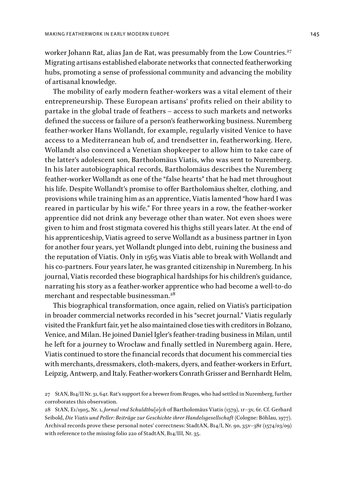worker Johann Rat, alias Jan de Rat, was presumably from the Low Countries.<sup>27</sup> Migrating artisans established elaborate networks that connected featherworking hubs, promoting a sense of professional community and advancing the mobility of artisanal knowledge.

The mobility of early modern feather-workers was a vital element of their entrepreneurship. These European artisans' profits relied on their ability to partake in the global trade of feathers – access to such markets and networks defined the success or failure of a person's featherworking business. Nuremberg feather-worker Hans Wollandt, for example, regularly visited Venice to have access to a Mediterranean hub of, and trendsetter in, featherworking. Here, Wollandt also convinced a Venetian shopkeeper to allow him to take care of the latter's adolescent son, Bartholomäus Viatis, who was sent to Nuremberg. In his later autobiographical records, Bartholomäus describes the Nuremberg feather-worker Wollandt as one of the "false hearts" that he had met throughout his life. Despite Wollandt's promise to offer Bartholomäus shelter, clothing, and provisions while training him as an apprentice, Viatis lamented "how hard I was reared in particular by his wife." For three years in a row, the feather-worker apprentice did not drink any beverage other than water. Not even shoes were given to him and frost stigmata covered his thighs still years later. At the end of his apprenticeship, Viatis agreed to serve Wollandt as a business partner in Lyon for another four years, yet Wollandt plunged into debt, ruining the business and the reputation of Viatis. Only in 1565 was Viatis able to break with Wollandt and his co-partners. Four years later, he was granted citizenship in Nuremberg. In his journal, Viatis recorded these biographical hardships for his children's guidance, narrating his story as a feather-worker apprentice who had become a well-to-do merchant and respectable businessman.<sup>28</sup>

This biographical transformation, once again, relied on Viatis's participation in broader commercial networks recorded in his "secret journal." Viatis regularly visited the Frankfurt fair, yet he also maintained close ties with creditors in Bolzano, Venice, and Milan. He joined Daniel Igler's feather-trading business in Milan, until he left for a journey to Wrocław and finally settled in Nuremberg again. Here, Viatis continued to store the financial records that document his commercial ties with merchants, dressmakers, cloth-makers, dyers, and feather-workers in Erfurt, Leipzig, Antwerp, and Italy. Feather-workers Conrath Grisser and Bernhardt Helm,

<sup>27</sup> StAN, B14/II Nr. 31, 64r. Rat's support for a brewer from Bruges, who had settled in Nuremberg, further corroborates this observation.

<sup>28</sup> StAN, E1/1905, Nr. 1, *Jornal vnd Schuldtbu[o]ch* of Bartholomäus Viatis (1579), 1r–3v, 6r. Cf. Gerhard Seibold, *Die Viatis und Peller: Beiträge zur Geschichte ihrer Handelsgesellschaft* (Cologne: Böhlau, 1977). Archival records prove these personal notes' correctness: StadtAN, B14/I, Nr. 90, 35v–38r (1574/03/09) with reference to the missing folio 220 of StadtAN, B14/III, Nr. 35.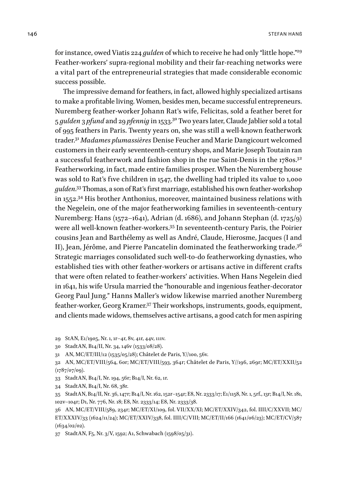for instance, owed Viatis 224 *gulden* of which to receive he had only "little hope."29 Feather-workers' supra-regional mobility and their far-reaching networks were a vital part of the entrepreneurial strategies that made considerable economic success possible.

The impressive demand for feathers, in fact, allowed highly specialized artisans to make a profitable living. Women, besides men, became successful entrepreneurs. Nuremberg feather-worker Johann Rat's wife, Felicitas, sold a feather beret for 5 *gulden* 3 *pfund* and 29 *pfennig* in 1533.30 Two years later, Claude Jablier sold a total of 995 feathers in Paris. Twenty years on, she was still a well-known featherwork trader.31 *Madames plumassières* Denise Feucher and Marie Dangicourt welcomed customers in their early seventeenth-century shops, and Marie Joseph Toutain ran a successful featherwork and fashion shop in the rue Saint-Denis in the 1780s.<sup>32</sup> Featherworking, in fact, made entire families prosper. When the Nuremberg house was sold to Rat's five children in 1547, the dwelling had tripled its value to 1,000 *gulden*. 33 Thomas, a son of Rat's first marriage, established his own feather-workshop in 1552.34 His brother Anthonius, moreover, maintained business relations with the Negelein, one of the major featherworking families in seventeenth-century Nuremberg: Hans (1572–1641), Adrian (d. 1686), and Johann Stephan (d. 1725/9) were all well-known feather-workers.35 In seventeenth-century Paris, the Poirier cousins Jean and Barthélemy as well as André, Claude, Hierosme, Jacques (I and II), Jean, Jérôme, and Pierre Pancatelin dominated the featherworking trade.<sup>36</sup> Strategic marriages consolidated such well-to-do featherworking dynasties, who established ties with other feather-workers or artisans active in different crafts that were often related to feather-workers' activities. When Hans Negelein died in 1641, his wife Ursula married the "honourable and ingenious feather-decorator Georg Paul Jung." Hanns Maller's widow likewise married another Nuremberg feather-worker, Georg Kramer.37 Their workshops, instruments, goods, equipment, and clients made widows, themselves active artisans, a good catch for men aspiring

29 StAN, E1/1905, Nr. 1, 1r–4r, 8v, 41r, 44v, 111v.

30 StadtAN, B14/II, Nr. 34, 146v (1533/08/28).

31 AN, MC/ET/III/12 (1535/05/28); Châtelet de Paris, Y//100, 56v.

32 AN, MC/ET/VIII/564, 60r; MC/ET/VIII/593, 364r; Châtelet de Paris, Y//196, 269r; MC/ET/XXII/52  $(1787/07/09)$ .

33 StadtAN, B14/I, Nr. 194, 56r; B14/I, Nr. 62, 1r.

34 StadtAN, B14/I, Nr. 68, 38r.

35 StadtAN, B14/II, Nr. 36, 147r; B14/I, Nr. 162, 152r–154r; E8, Nr. 2333/17; E1/1158, Nr. 1, 5rf., 13r; B14/I, Nr. 181, 102v–104r; D1, Nr. 776, Nr. 18; E8, Nr. 2333/14; E8, Nr. 2333/38.

36 AN, MC/ET/VIII/589, 234r; MC/ET/XI/109, fol. VII/XX/XI; MC/ET/XXIV/342, fol. IIII/C/XXVII; MC/ ET/XXXIV/33 (1624/11/24); MC/ET/XXIV/338, fol. IIII/C/VIII; MC/ET/II/166 (1641/06/23); MC/ET/CV/587  $(1634/02/02)$ .

37 StadtAN, F5, Nr. 3/V, 1592; A1, Schwabach (1598/05/31).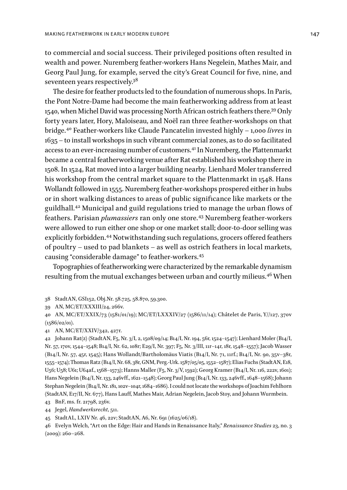to commercial and social success. Their privileged positions often resulted in wealth and power. Nuremberg feather-workers Hans Negelein, Mathes Mair, and Georg Paul Jung, for example, served the city's Great Council for five, nine, and seventeen years respectively.38

The desire for feather products led to the foundation of numerous shops. In Paris, the Pont Notre-Dame had become the main featherworking address from at least 1540, when Michel David was processing North African ostrich feathers there.39 Only forty years later, Hory, Maloiseau, and Noël ran three feather-workshops on that bridge.40 Feather-workers like Claude Pancatelin invested highly – 1,000 *livres* in 1635 – to install workshops in such vibrant commercial zones, as to do so facilitated access to an ever-increasing number of customers.<sup>41</sup> In Nuremberg, the Plattenmarkt became a central featherworking venue after Rat established his workshop there in 1508. In 1524, Rat moved into a larger building nearby. Lienhard Moler transferred his workshop from the central market square to the Plattenmarkt in 1548. Hans Wollandt followed in 1555. Nuremberg feather-workshops prospered either in hubs or in short walking distances to areas of public significance like markets or the guildhall.42 Municipal and guild regulations tried to manage the urban flows of feathers. Parisian *plumassiers* ran only one store.43 Nuremberg feather-workers were allowed to run either one shop or one market stall; door-to-door selling was explicitly forbidden.<sup>44</sup> Notwithstanding such regulations, grocers offered feathers of poultry – used to pad blankets – as well as ostrich feathers in local markets, causing "considerable damage" to feather-workers.<sup>45</sup>

Topographies of featherworking were characterized by the remarkable dynamism resulting from the mutual exchanges between urban and courtly milieus.46 When

41 AN, MC/ET/XXIV/342, 427r.

42 Johann Rat(z) (StadtAN, F5, Nr. 3/I, 2, 1508/09/14; B14/I, Nr. 194, 56r, 1524–1547); Lienhard Moler (B14/I, Nr. 57, 170v, 1544–1548; B14/I, Nr. 62, 108r; E29/I, Nr. 397; F5, Nr. 3/III, 11r–14r, 18r, 1548–1557); Jacob Wasser (B14/I, Nr. 57, 45r, 1545); Hans Wollandt/Bartholomäus Viatis (B14/I, Nr. 71, 11rf.; B14/I, Nr. 90, 35v–38r, 1555–1574); Thomas Ratz (B14/I, Nr. 68, 38r, GNM, Perg.-Urk. 1587/05/05, 1552–1587); Elias Fuchs (StadtAN, E18, U56; U58; U61; U64af., 1568–1573); Hanns Maller (F5, Nr. 3/V, 1592); Georg Kramer (B14/I, Nr. 116, 222v, 1601); Hans Negelein (B14/I, Nr. 133, 246vff., 1621–1548); Georg Paul Jung (B14/I, Nr. 133, 246vff., 1648–1568); Johann Stephan Negelein (B14/I, Nr. 181, 102v–104r, 1684–1686). I could not locate the workshops of Joachim Fehlhorn (StadtAN, E17/II, Nr. 677), Hans Lauff, Mathes Mair, Adrian Negelein, Jacob Stoy, and Johann Wurmbein.

43 BnF, ms. fr. 21798, 236v.

44 Jegel, *Handwerksrecht*, 511.

45 StadtAL, LXIV Nr. 46, 22v; StadtAN, A6, Nr. 691 (1625/06/18).

46 Evelyn Welch, "Art on the Edge: Hair and Hands in Renaissance Italy," *Renaissance Studies* 23, no. 3 (2009): 260–268.

<sup>38</sup> StadtAN, GSI152, [Obj.Nr](http://Obj.Nr). 58.725, 58.870, 59.300.

<sup>39</sup> AN, MC/ET/XXXIII/24, 266v.

<sup>40</sup> AN, MC/ET/XXIX/73 (1581/01/19); MC/ET/LXXXIV/27 (1586/11/14); Châtelet de Paris, Y//127, 370v (1586/02/01).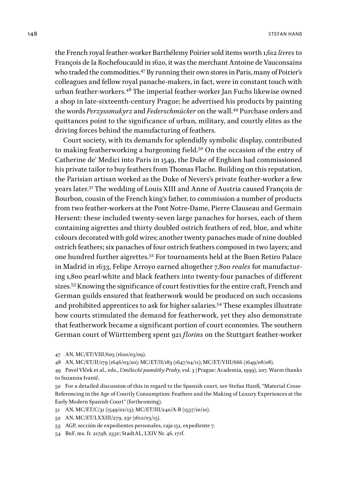the French royal feather-worker Barthélemy Poirier sold items worth 1,612 *livres* to François de la Rochefoucauld in 1620, it was the merchant Antoine de Vauconsains who traded the commodities.<sup>47</sup> By running their own stores in Paris, many of Poirier's colleagues and fellow royal panache-makers, in fact, were in constant touch with urban feather-workers.48 The imperial feather-worker Jan Fuchs likewise owned a shop in late-sixteenth-century Prague; he advertised his products by painting the words *Perzyssmukyrz* and *Federschmücker* on the wall.49 Purchase orders and quittances point to the significance of urban, military, and courtly elites as the driving forces behind the manufacturing of feathers.

Court society, with its demands for splendidly symbolic display, contributed to making featherworking a burgeoning field.<sup>50</sup> On the occasion of the entry of Catherine de' Medici into Paris in 1549, the Duke of Enghien had commissioned his private tailor to buy feathers from Thomas Flache. Building on this reputation, the Parisian artisan worked as the Duke of Nevers's private feather-worker a few years later.51 The wedding of Louis XIII and Anne of Austria caused François de Bourbon, cousin of the French king's father, to commission a number of products from two feather-workers at the Pont Notre-Dame, Pierre Clauseau and Germain Hersent: these included twenty-seven large panaches for horses, each of them containing aigrettes and thirty doubled ostrich feathers of red, blue, and white colours decorated with gold wires; another twenty panaches made of nine doubled ostrich feathers; six panaches of four ostrich feathers composed in two layers; and one hundred further aigrettes.52 For tournaments held at the Buen Retiro Palace in Madrid in 1633, Felipe Arroyo earned altogether 7,800 *reales* for manufacturing 1,800 pearl-white and black feathers into twenty-four panaches of different sizes.53 Knowing the significance of court festivities for the entire craft, French and German guilds ensured that featherwork would be produced on such occasions and prohibited apprentices to ask for higher salaries.54 These examples illustrate how courts stimulated the demand for featherwork, yet they also demonstrate that featherwork became a significant portion of court economies. The southern German court of Württemberg spent 921 *florins* on the Stuttgart feather-worker

47 AN, MC/ET/VIII/603 (1620/03/09).

48 AN, MC/ET/II/179 (1646/03/20); MC/ET/II/183 (1647/04/11); MC/ET/VIII/666 (1649/08/08).

49 Pavel Vlček et al., eds., *Umělecké památky Prahy*, vol. 3 (Prague: Academia, 1999), 207. Warm thanks to Suzanna Ivanič.

50 For a detailed discussion of this in regard to the Spanish court, see Stefan Hanß, "Material Cross-Referencing in the Age of Courtly Consumption: Feathers and the Making of Luxury Experiences at the Early Modern Spanish Court" (forthcoming).

51 AN, MC/ET/C/31 (1549/02/13); MC/ET/III/240/A-B (1557/10/10).

52 AN, MC/ET/LXXIII/279, 23r (1612/03/15).

53 AGP, sección de expedientes personales, caja 151, expediente 7.

54 BnF, ms. fr. 21798, 233v; StadtAL, LXIV Nr. 46, 17rf.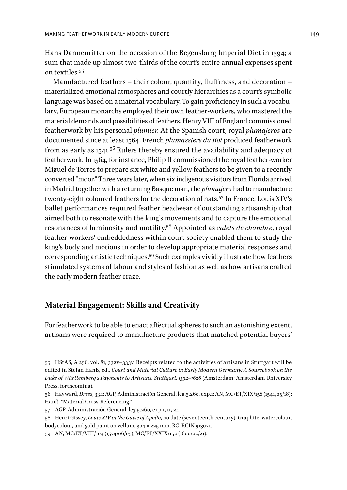Hans Dannenritter on the occasion of the Regensburg Imperial Diet in 1594; a sum that made up almost two-thirds of the court's entire annual expenses spent on textiles.55

Manufactured feathers – their colour, quantity, fluffiness, and decoration – materialized emotional atmospheres and courtly hierarchies as a court's symbolic language was based on a material vocabulary. To gain proficiency in such a vocabulary, European monarchs employed their own feather-workers, who mastered the material demands and possibilities of feathers. Henry VIII of England commissioned featherwork by his personal *plumier*. At the Spanish court, royal *plumajeros* are documented since at least 1564. French *plumassiers du Roi* produced featherwork from as early as 1541. $5^6$  Rulers thereby ensured the availability and adequacy of featherwork. In 1564, for instance, Philip II commissioned the royal feather-worker Miguel de Torres to prepare six white and yellow feathers to be given to a recently converted "moor." Three years later, when six indigenous visitors from Florida arrived in Madrid together with a returning Basque man, the *plumajero* had to manufacture twenty-eight coloured feathers for the decoration of hats.57 In France, Louis XIV's ballet performances required feather headwear of outstanding artisanship that aimed both to resonate with the king's movements and to capture the emotional resonances of luminosity and motility.58 Appointed as *valets de chambre*, royal feather-workers' embeddedness within court society enabled them to study the king's body and motions in order to develop appropriate material responses and corresponding artistic techniques.59 Such examples vividly illustrate how feathers stimulated systems of labour and styles of fashion as well as how artisans crafted the early modern feather craze.

## **Material Engagement: Skills and Creativity**

For featherwork to be able to enact affectual spheres to such an astonishing extent, artisans were required to manufacture products that matched potential buyers'

56 Hayward, *Dress*, 334; AGP, Administración General, leg.5.260, exp.1; AN, MC/ET/XIX/158 (1541/05/18); Hanß, "Material Cross-Referencing."

- 57 AGP, Administración General, leg.5.260, exp.1, 1r, 2r.
- 58 Henri Gissey, *Louis XIV in the Guise of Apollo*, no date (seventeenth century). Graphite, watercolour, bodycolour, and gold paint on vellum, 304 × 225 mm, RC, RCIN 913071.

59 AN, MC/ET/VIII/104 (1574/06/05); MC/ET/XXIX/152 (1600/02/21).

<sup>55</sup> HStAS, A 256, vol. 81, 332v–333v. Receipts related to the activities of artisans in Stuttgart will be edited in Stefan Hanß, ed., *Court and Material Culture in Early Modern Germany: A Sourcebook on the Duke of Württemberg's Payments to Artisans, Stuttgart, 1592–1628* (Amsterdam: Amsterdam University Press, forthcoming).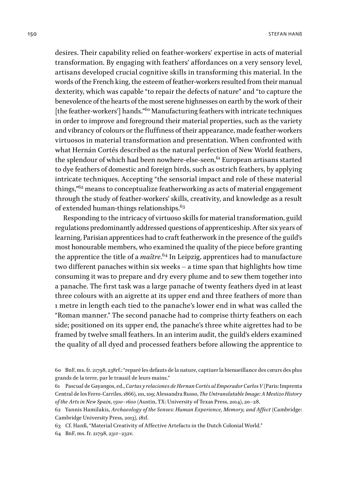desires. Their capability relied on feather-workers' expertise in acts of material transformation. By engaging with feathers' affordances on a very sensory level, artisans developed crucial cognitive skills in transforming this material. In the words of the French king, the esteem of feather-workers resulted from their manual dexterity, which was capable "to repair the defects of nature" and "to capture the benevolence of the hearts of the most serene highnesses on earth by the work of their [the feather-workers'] hands."<sup>60</sup> Manufacturing feathers with intricate techniques in order to improve and foreground their material properties, such as the variety and vibrancy of colours or the fluffiness of their appearance, made feather-workers virtuosos in material transformation and presentation. When confronted with what Hernán Cortés described as the natural perfection of New World feathers, the splendour of which had been nowhere-else-seen,<sup>61</sup> European artisans started to dye feathers of domestic and foreign birds, such as ostrich feathers, by applying intricate techniques. Accepting "the sensorial impact and role of these material things,"62 means to conceptualize featherworking as acts of material engagement through the study of feather-workers' skills, creativity, and knowledge as a result of extended human-things relationships.<sup>63</sup>

Responding to the intricacy of virtuoso skills for material transformation, guild regulations predominantly addressed questions of apprenticeship. After six years of learning, Parisian apprentices had to craft featherwork in the presence of the guild's most honourable members, who examined the quality of the piece before granting the apprentice the title of a *maître*. 64 In Leipzig, apprentices had to manufacture two different panaches within six weeks – a time span that highlights how time consuming it was to prepare and dry every plume and to sew them together into a panache. The first task was a large panache of twenty feathers dyed in at least three colours with an aigrette at its upper end and three feathers of more than 1 metre in length each tied to the panache's lower end in what was called the "Roman manner." The second panache had to comprise thirty feathers on each side; positioned on its upper end, the panache's three white aigrettes had to be framed by twelve small feathers. In an interim audit, the guild's elders examined the quality of all dyed and processed feathers before allowing the apprentice to

<sup>60</sup> BnF, ms. fr. 21798, 238rf.: "reparé les defauts de la nature, captiuer la bienueillance des cœurs des plus grands de la terre, par le trauail de leurs mains."

<sup>61</sup> Pascual de Gayangos, ed., *Cartas y relaciones de Hernan Cortés al Emperador Carlos V* (Paris: Imprenta Central de los Ferro-Carriles, 1866), 101, 109; Alessandra Russo, *The Untranslatable Image: A Mestizo History of the Arts in New Spain, 1500–1600* (Austin, TX: University of Texas Press, 2014), 20–28.

<sup>62</sup> Yannis Hamilakis, *Archaeology of the Senses: Human Experience, Memory, and Affect* (Cambridge: Cambridge University Press, 2013), 181f.

<sup>63</sup> Cf. Hanß, "Material Creativity of Affective Artefacts in the Dutch Colonial World."

<sup>64</sup> BnF, ms. fr. 21798, 231r–232v.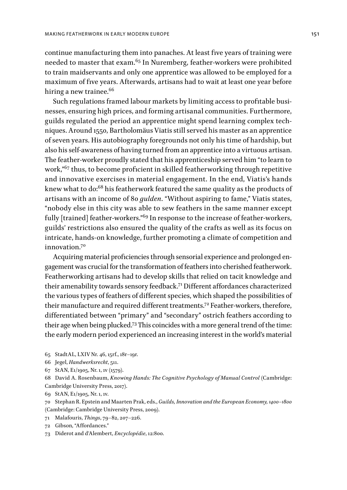continue manufacturing them into panaches. At least five years of training were needed to master that exam.65 In Nuremberg, feather-workers were prohibited to train maidservants and only one apprentice was allowed to be employed for a maximum of five years. Afterwards, artisans had to wait at least one year before hiring a new trainee.<sup>66</sup>

Such regulations framed labour markets by limiting access to profitable businesses, ensuring high prices, and forming artisanal communities. Furthermore, guilds regulated the period an apprentice might spend learning complex techniques. Around 1550, Bartholomäus Viatis still served his master as an apprentice of seven years. His autobiography foregrounds not only his time of hardship, but also his self-awareness of having turned from an apprentice into a virtuous artisan. The feather-worker proudly stated that his apprenticeship served him "to learn to work,"67 thus, to become proficient in skilled featherworking through repetitive and innovative exercises in material engagement. In the end, Viatis's hands knew what to do:68 his featherwork featured the same quality as the products of artisans with an income of 80 *gulden*. "Without aspiring to fame," Viatis states, "nobody else in this city was able to sew feathers in the same manner except fully [trained] feather-workers."<sup>69</sup> In response to the increase of feather-workers, guilds' restrictions also ensured the quality of the crafts as well as its focus on intricate, hands-on knowledge, further promoting a climate of competition and innovation.70

Acquiring material proficiencies through sensorial experience and prolonged engagement was crucial for the transformation of feathers into cherished featherwork. Featherworking artisans had to develop skills that relied on tacit knowledge and their amenability towards sensory feedback.71 Different affordances characterized the various types of feathers of different species, which shaped the possibilities of their manufacture and required different treatments.<sup>72</sup> Feather-workers, therefore, differentiated between "primary" and "secondary" ostrich feathers according to their age when being plucked.73 This coincides with a more general trend of the time: the early modern period experienced an increasing interest in the world's material

- 65 StadtAL, LXIV Nr. 46, 15rf., 18r–19r.
- 66 Jegel, *Handwerksrecht*, 511.
- 67 StAN, E1/1905, Nr. 1, 1v (1579).
- 68 David A. Rosenbaum, *Knowing Hands: The Cognitive Psychology of Manual Control* (Cambridge: Cambridge University Press, 2017).
- 69 StAN, E1/1905, Nr. 1, 1v.
- 70 Stephan R. Epstein and Maarten Prak, eds., *Guilds, Innovation and the European Economy, 1400–1800* (Cambridge: Cambridge University Press, 2009).
- 71 Malafouris, *Things*, 79–82, 207–226.
- 72 Gibson, "Affordances."
- 73 Diderot and d'Alembert, *Encyclopédie*, 12:800.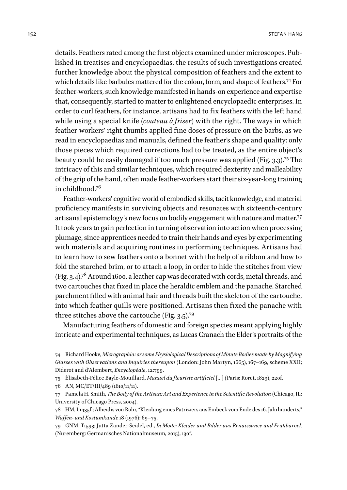details. Feathers rated among the first objects examined under microscopes. Published in treatises and encyclopaedias, the results of such investigations created further knowledge about the physical composition of feathers and the extent to which details like barbules mattered for the colour, form, and shape of feathers.74 For feather-workers, such knowledge manifested in hands-on experience and expertise that, consequently, started to matter to enlightened encyclopaedic enterprises. In order to curl feathers, for instance, artisans had to fix feathers with the left hand while using a special knife (*couteau à friser*) with the right. The ways in which feather-workers' right thumbs applied fine doses of pressure on the barbs, as we read in encyclopaedias and manuals, defined the feather's shape and quality: only those pieces which required corrections had to be treated, as the entire object's beauty could be easily damaged if too much pressure was applied (Fig. 3.3).75 The intricacy of this and similar techniques, which required dexterity and malleability of the grip of the hand, often made feather-workers start their six-year-long training in childhood.76

Feather-workers' cognitive world of embodied skills, tacit knowledge, and material proficiency manifests in surviving objects and resonates with sixteenth-century artisanal epistemology's new focus on bodily engagement with nature and matter.77 It took years to gain perfection in turning observation into action when processing plumage, since apprentices needed to train their hands and eyes by experimenting with materials and acquiring routines in performing techniques. Artisans had to learn how to sew feathers onto a bonnet with the help of a ribbon and how to fold the starched brim, or to attach a loop, in order to hide the stitches from view (Fig. 3.4).78 Around 1600, a leather cap was decorated with cords, metal threads, and two cartouches that fixed in place the heraldic emblem and the panache. Starched parchment filled with animal hair and threads built the skeleton of the cartouche, into which feather quills were positioned. Artisans then fixed the panache with three stitches above the cartouche (Fig. 3.5).79

Manufacturing feathers of domestic and foreign species meant applying highly intricate and experimental techniques, as Lucas Cranach the Elder's portraits of the

<sup>74</sup> Richard Hooke, *Micrographia: or some Physiological Descriptions of Minute Bodies made by Magnifying Glasses with Observations and Inquiries thereupon* (London: John Martyn, 1665), 167–169, scheme XXII; Diderot and d'Alembert, *Encyclopédie*, 12:799.

<sup>75</sup> Élisabeth-Félice Bayle-Mouillard, *Manuel du fleuriste artificiel* […] (Paris: Roret, 1829), 220f.

<sup>76</sup> AN, MC/ET/III/489 (1610/11/11).

<sup>77</sup> Pamela H. Smith, *The Body of the Artisan: Art and Experience in the Scientific Revolution* (Chicago, IL: University of Chicago Press, 2004).

<sup>78</sup> HM, L1435f.; Alheidis von Rohr, "Kleidung eines Patriziers aus Einbeck vom Ende des 16. Jahrhunderts," *Waffen- und Kostümkunde* 18 (1976): 69–75.

<sup>79</sup> GNM, T1593; Jutta Zander-Seidel, ed., *In Mode: Kleider und Bilder aus Renaissance und Frühbarock* (Nuremberg: Germanisches Nationalmuseum, 2015), 130f.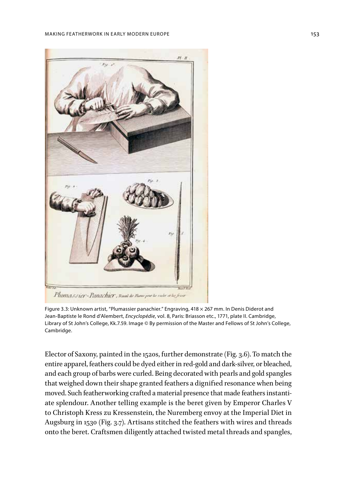

Figure 3.3: Unknown artist, "Plumassier panachier." Engraving, 418 × 267 mm. In Denis Diderot and Jean-Baptiste le Rond d'Alembert, *Encyclopédie*, vol. 8, Paris: Briasson etc., 1771, plate II. Cambridge, Library of St John's College, Kk.7.59. Image © By permission of the Master and Fellows of St John's College, Cambridge.

Elector of Saxony, painted in the 1520s, further demonstrate (Fig. 3.6). To match the entire apparel, feathers could be dyed either in red-gold and dark-silver, or bleached, and each group of barbs were curled. Being decorated with pearls and gold spangles that weighed down their shape granted feathers a dignified resonance when being moved. Such featherworking crafted a material presence that made feathers instantiate splendour. Another telling example is the beret given by Emperor Charles V to Christoph Kress zu Kressenstein, the Nuremberg envoy at the Imperial Diet in Augsburg in 1530 (Fig. 3.7). Artisans stitched the feathers with wires and threads onto the beret. Craftsmen diligently attached twisted metal threads and spangles,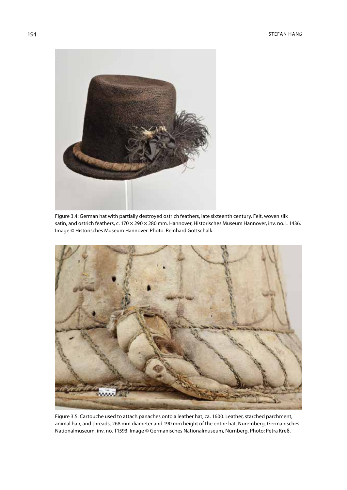

Figure 3.4: German hat with partially destroyed ostrich feathers, late sixteenth century. Felt, woven silk satin, and ostrich feathers, c. 170 × 290 × 280 mm. Hannover, Historisches Museum Hannover, inv. no. L 1436. Image © Historisches Museum Hannover. Photo: Reinhard Gottschalk.



Figure 3.5: Cartouche used to attach panaches onto a leather hat, ca. 1600. Leather, starched parchment, animal hair, and threads, 268 mm diameter and 190 mm height of the entire hat. Nuremberg, Germanisches Nationalmuseum, inv. no. T1593. Image © Germanisches Nationalmuseum, Nürnberg. Photo: Petra Kreß.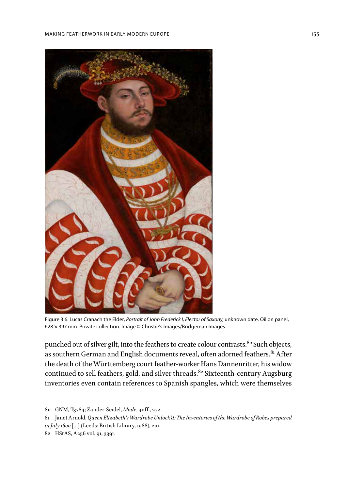

Figure 3.6: Lucas Cranach the Elder, *Portrait of John Frederick I, Elector of Saxony*, unknown date. Oil on panel, 628 × 397 mm. Private collection. Image © Christie's Images/Bridgeman Images.

punched out of silver gilt, into the feathers to create colour contrasts.<sup>80</sup> Such objects, as southern German and English documents reveal, often adorned feathers.<sup>81</sup> After the death of the Württemberg court feather-worker Hans Dannenritter, his widow continued to sell feathers, gold, and silver threads.<sup>82</sup> Sixteenth-century Augsburg inventories even contain references to Spanish spangles, which were themselves

- 81 Janet Arnold, *Queen Elizabeth's Wardrobe Unlock'd: The Inventories of the Wardrobe of Robes prepared in July 1600* […] (Leeds: British Library, 1988), 201.
- 82 HStAS, A256 vol. 91, 339r.

<sup>80</sup> GNM, T3784; Zander-Seidel, *Mode*, 40ff., 272.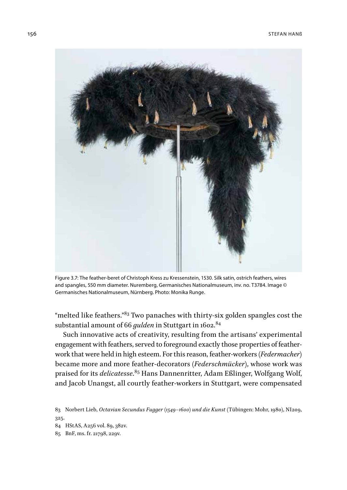

Figure 3.7: The feather-beret of Christoph Kress zu Kressenstein, 1530. Silk satin, ostrich feathers, wires and spangles, 550 mm diameter. Nuremberg, Germanisches Nationalmuseum, inv. no. T3784. Image © Germanisches Nationalmuseum, Nürnberg. Photo: Monika Runge.

"melted like feathers."<sup>83</sup> Two panaches with thirty-six golden spangles cost the substantial amount of 66 *gulden* in Stuttgart in 1602.<sup>84</sup>

Such innovative acts of creativity, resulting from the artisans' experimental engagement with feathers, served to foreground exactly those properties of featherwork that were held in high esteem. For this reason, feather-workers (*Federmacher*) became more and more feather-decorators (*Federschmücker*), whose work was praised for its *delicatesse*. 85 Hans Dannenritter, Adam Eßlinger, Wolfgang Wolf, and Jacob Unangst, all courtly feather-workers in Stuttgart, were compensated

84 HStAS, A256 vol. 89, 382v.

85 BnF, ms. fr. 21798, 229v.

<sup>83</sup> Norbert Lieb, *Octavian Secundus Fugger (1549–1600) und die Kunst* (Tübingen: Mohr, 1980), NI209, 325.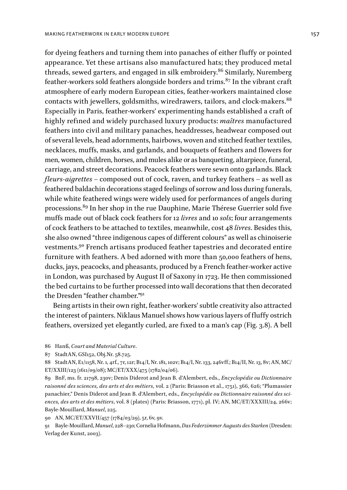for dyeing feathers and turning them into panaches of either fluffy or pointed appearance. Yet these artisans also manufactured hats; they produced metal threads, sewed garters, and engaged in silk embroidery.<sup>86</sup> Similarly, Nuremberg feather-workers sold feathers alongside borders and trims. $87$  In the vibrant craft atmosphere of early modern European cities, feather-workers maintained close contacts with jewellers, goldsmiths, wiredrawers, tailors, and clock-makers.<sup>88</sup> Especially in Paris, feather-workers' experimenting hands established a craft of highly refined and widely purchased luxury products: *maîtres* manufactured feathers into civil and military panaches, headdresses, headwear composed out of several levels, head adornments, hairbows, woven and stitched feather textiles, necklaces, muffs, masks, and garlands, and bouquets of feathers and flowers for men, women, children, horses, and mules alike or as banqueting, altarpiece, funeral, carriage, and street decorations. Peacock feathers were sewn onto garlands. Black *fleurs-aigrettes –* composed out of cock, raven, and turkey feathers – as well as feathered baldachin decorations staged feelings of sorrow and loss during funerals, while white feathered wings were widely used for performances of angels during processions.89 In her shop in the rue Dauphine, Marie Thérese Guerrier sold five muffs made out of black cock feathers for 12 *livres* and 10 *sols*; four arrangements of cock feathers to be attached to textiles, meanwhile, cost 48 *livres*. Besides this, she also owned "three indigenous capes of different colours" as well as chinoiserie vestments.90 French artisans produced feather tapestries and decorated entire furniture with feathers. A bed adorned with more than 50,000 feathers of hens, ducks, jays, peacocks, and pheasants, produced by a French feather-worker active in London, was purchased by August II of Saxony in 1723. He then commissioned the bed curtains to be further processed into wall decorations that then decorated the Dresden "feather chamber."91

Being artists in their own right, feather-workers' subtle creativity also attracted the interest of painters. Niklaus Manuel shows how various layers of fluffy ostrich feathers, oversized yet elegantly curled, are fixed to a man's cap (Fig. 3.8). A bell

86 Hanß, *Court and Material Culture*.

87 StadtAN, GSI152, [Obj.Nr](http://Obj.Nr). 58.725.

88 StadtAN, E1/1158, Nr. 1, 4rf., 7r, 12r; B14/I, Nr. 181, 102v; B14/I, Nr. 133, 246vff.; B14/II, Nr. 13, 8v; AN, MC/ ET/XXIII/123 (1611/09/08); MC/ET/XXX/475 (1782/04/06).

89 BnF, ms. fr. 21798, 230v; Denis Diderot and Jean B. d'Alembert, eds., *Encyclopédie ou Dictionnaire raisonné des sciences, des arts et des métiers*, vol. 2 (Paris: Briasson et al., 1751), 366, 626; "Plumassier panachier," Denis Diderot and Jean B. d'Alembert, eds., *Encyclopédie ou Dictionnaire raisonné des sciences, des arts et des métiers*, vol. 8 (plates) (Paris: Briasson, 1771), pl. IV; AN, MC/ET/XXXIII/24, 266v; Bayle-Mouillard, *Manuel*, 225.

90 AN, MC/ET/XXVII/457 (1784/03/29), 5r, 6v, 9v.

91 Bayle-Mouillard, *Manuel*, 228–230; Cornelia Hofmann, *Das Federzimmer Augusts des Starken* (Dresden: Verlag der Kunst, 2003).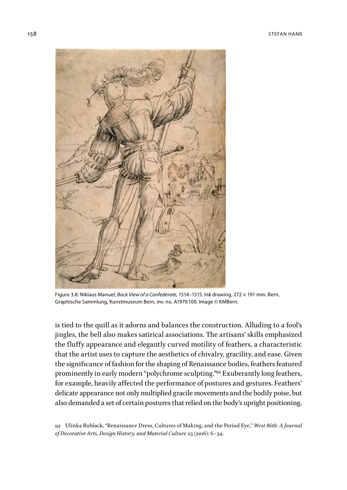

Figure 3.8: Niklaus Manuel, *Back View of a Confederate*, 1514–1515. Ink drawing, 272 × 191 mm. Bern, Graphische Sammlung, Kunstmuseum Bern, inv. no. A1979.100. Image © KMBern.

is tied to the quill as it adorns and balances the construction. Alluding to a fool's jingles, the bell also makes satirical associations. The artisans' skills emphasized the fluffy appearance and elegantly curved motility of feathers, a characteristic that the artist uses to capture the aesthetics of chivalry, gracility, and ease. Given the significance of fashion for the shaping of Renaissance bodies, feathers featured prominently in early modern "polychrome sculpting."<sup>92</sup> Exuberantly long feathers, for example, heavily affected the performance of postures and gestures. Feathers' delicate appearance not only multiplied gracile movements and the bodily poise, but also demanded a set of certain postures that relied on the body's upright positioning,

<sup>92</sup> Ulinka Rublack, "Renaissance Dress, Cultures of Making, and the Period Eye," *West 86th: A Journal of Decorative Arts, Design History, and Material Culture* 23 (2016): 6–34.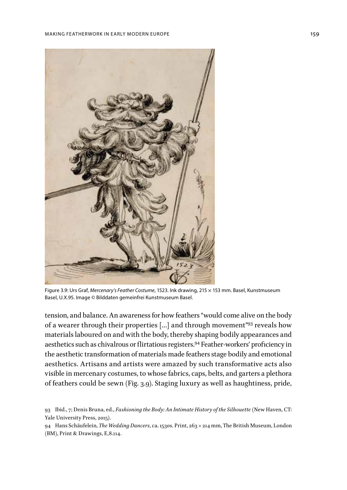

Figure 3.9: Urs Graf, *Mercenary's Feather Costume*, 1523. Ink drawing, 215 × 153 mm. Basel, Kunstmuseum Basel, U.X.95. Image © Bilddaten gemeinfrei Kunstmuseum Basel.

tension, and balance. An awareness for how feathers "would come alive on the body of a wearer through their properties […] and through movement"93 reveals how materials laboured on and with the body, thereby shaping bodily appearances and aesthetics such as chivalrous or flirtatious registers.94 Feather-workers' proficiency in the aesthetic transformation of materials made feathers stage bodily and emotional aesthetics. Artisans and artists were amazed by such transformative acts also visible in mercenary costumes, to whose fabrics, caps, belts, and garters a plethora of feathers could be sewn (Fig. 3.9). Staging luxury as well as haughtiness, pride,

<sup>93</sup> Ibid., 7; Denis Bruna, ed., *Fashioning the Body: An Intimate History of the Silhouette* (New Haven, CT: Yale University Press, 2015).

<sup>94</sup> Hans Schäufelein, *The Wedding Dancers*, ca. 1530s. Print, 263 × 214 mm, The British Museum, London (BM), Print & Drawings, E,8.114.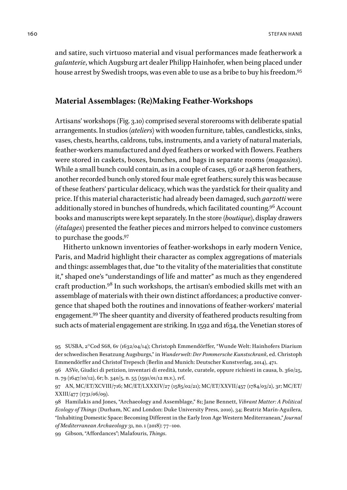and satire, such virtuoso material and visual performances made featherwork a *galanterie*, which Augsburg art dealer Philipp Hainhofer, when being placed under house arrest by Swedish troops, was even able to use as a bribe to buy his freedom.<sup>95</sup>

# **Material Assemblages: (Re)Making Feather-Workshops**

Artisans' workshops (Fig. 3.10) comprised several storerooms with deliberate spatial arrangements. In studios (*ateliers*) with wooden furniture, tables, candlesticks, sinks, vases, chests, hearths, caldrons, tubs, instruments, and a variety of natural materials, feather-workers manufactured and dyed feathers or worked with flowers. Feathers were stored in caskets, boxes, bunches, and bags in separate rooms (*magasins*). While a small bunch could contain, as in a couple of cases, 136 or 248 heron feathers, another recorded bunch only stored four male egret feathers; surely this was because of these feathers' particular delicacy, which was the yardstick for their quality and price. If this material characteristic had already been damaged, such *garzotti* were additionally stored in bunches of hundreds, which facilitated counting.96 Account books and manuscripts were kept separately. In the store (*boutique*), display drawers (*étalages*) presented the feather pieces and mirrors helped to convince customers to purchase the goods.97

Hitherto unknown inventories of feather-workshops in early modern Venice, Paris, and Madrid highlight their character as complex aggregations of materials and things: assemblages that, due "to the vitality of the materialities that constitute it," shaped one's "understandings of life and matter" as much as they engendered craft production.98 In such workshops, the artisan's embodied skills met with an assemblage of materials with their own distinct affordances; a productive convergence that shaped both the routines and innovations of feather-workers' material engagement.99 The sheer quantity and diversity of feathered products resulting from such acts of material engagement are striking. In 1592 and 1634, the Venetian stores of

99 Gibson, "Affordances"; Malafouris, *Things*.

<sup>95</sup> SUSBA, 2°Cod S68, 6v (1632/04/14); Christoph Emmendörffer, "Wunde Welt: Hainhofers Diarium der schwedischen Besatzung Augsburgs," in *Wunderwelt: Der Pommersche Kunstschrank*, ed. Christoph Emmendörffer and Christof Trepesch (Berlin and Munich: Deutscher Kunstverlag, 2014), 471.

<sup>96</sup> ASVe, Giudici di petizion, inventari di eredità, tutele, curatele, oppure richiesti in causa, b. 360/25, n. 79 (1647/10/12), 6r; b. 340/5, n. 55 (1591/01/12 m.v.), 1vf.

<sup>97</sup> AN, MC/ET/XCVIII/716; MC/ET/LXXXIV/27 (1585/02/21); MC/ET/XXVII/457 (1784/03/2), 3r; MC/ET/ XXIII/477 (1731/06/09).

<sup>98</sup> Hamilakis and Jones, "Archaeology and Assemblage," 81; Jane Bennett, *Vibrant Matter: A Political Ecology of Things* (Durham, NC and London: Duke University Press, 2010), 34; Beatriz Marín-Aguilera, "Inhabiting Domestic Space: Becoming Different in the Early Iron Age Western Mediterranean," *Journal of Mediterranean Archaeology* 31, no. 1 (2018): 77–100.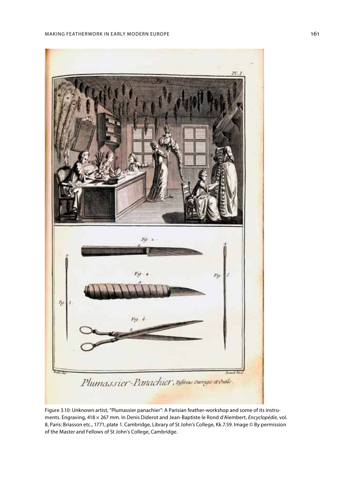

Figure 3.10: Unknown artist, "Plumassier panachier": A Parisian feather-workshop and some of its instruments. Engraving, 418 × 267 mm. In Denis Diderot and Jean-Baptiste le Rond d'Alembert, *Encyclopédie*, vol. 8, Paris: Briasson etc., 1771, plate 1. Cambridge, Library of St John's College, Kk.7.59. Image © By permission of the Master and Fellows of St John's College, Cambridge.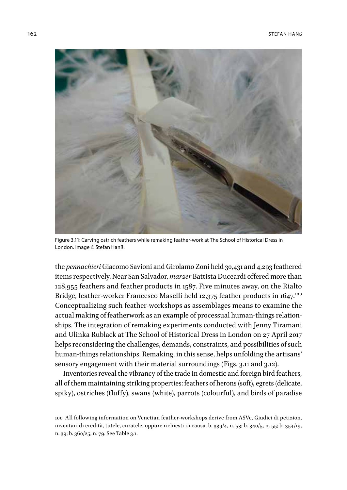

Figure 3.11: Carving ostrich feathers while remaking feather-work at The School of Historical Dress in London. Image © Stefan Hanß.

the *pennachieri* Giacomo Savioni and Girolamo Zoni held 30,431 and 4,293 feathered items respectively. Near San Salvador, *marzer* Battista Duceardi offered more than 128,955 feathers and feather products in 1587. Five minutes away, on the Rialto Bridge, feather-worker Francesco Maselli held 12,375 feather products in 1647.<sup>100</sup> Conceptualizing such feather-workshops as assemblages means to examine the actual making of featherwork as an example of processual human-things relationships. The integration of remaking experiments conducted with Jenny Tiramani and Ulinka Rublack at The School of Historical Dress in London on 27 April 2017 helps reconsidering the challenges, demands, constraints, and possibilities of such human-things relationships. Remaking, in this sense, helps unfolding the artisans' sensory engagement with their material surroundings (Figs. 3.11 and 3.12).

Inventories reveal the vibrancy of the trade in domestic and foreign bird feathers, all of them maintaining striking properties: feathers of herons (soft), egrets (delicate, spiky), ostriches (fluffy), swans (white), parrots (colourful), and birds of paradise

<sup>100</sup> All following information on Venetian feather-workshops derive from ASVe, Giudici di petizion, inventari di eredità, tutele, curatele, oppure richiesti in causa, b. 339/4, n. 53; b. 340/5, n. 55; b. 354/19, n. 39; b. 360/25, n. 79. See Table 3.1.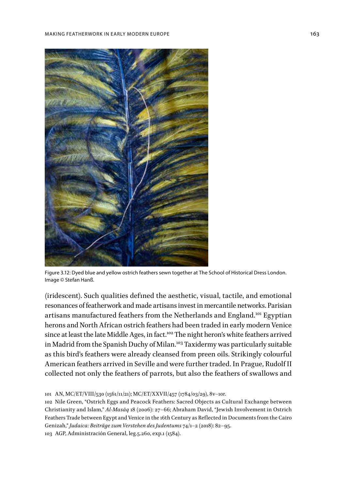

Figure 3.12: Dyed blue and yellow ostrich feathers sewn together at The School of Historical Dress London. Image © Stefan Hanß.

(iridescent). Such qualities defined the aesthetic, visual, tactile, and emotional resonances of featherwork and made artisans invest in mercantile networks. Parisian artisans manufactured feathers from the Netherlands and England.101 Egyptian herons and North African ostrich feathers had been traded in early modern Venice since at least the late Middle Ages, in fact.<sup>102</sup> The night heron's white feathers arrived in Madrid from the Spanish Duchy of Milan.<sup>103</sup> Taxidermy was particularly suitable as this bird's feathers were already cleansed from preen oils. Strikingly colourful American feathers arrived in Seville and were further traded. In Prague, Rudolf II collected not only the feathers of parrots, but also the feathers of swallows and

103 AGP, Administración General, leg.5.260, exp.1 (1584).

<sup>101</sup> AN, MC/ET/VIII/530 (1561/11/21); MC/ET/XXVII/457 (1784/03/29), 8v–10r.

<sup>102</sup> Nile Green, "Ostrich Eggs and Peacock Feathers: Sacred Objects as Cultural Exchange between Christianity and Islam," *Al-Masāq* 18 (2006): 27–66; Abraham David, "Jewish Involvement in Ostrich Feathers Trade between Egypt and Venice in the 16th Century as Reflected in Documents from the Cairo Genizah," *Judaica: Beiträge zum Verstehen des Judentums* 74/1–2 (2018): 82–95.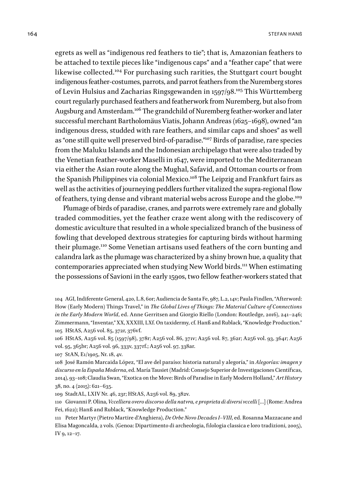egrets as well as "indigenous red feathers to tie"; that is, Amazonian feathers to be attached to textile pieces like "indigenous caps" and a "feather cape" that were likewise collected.104 For purchasing such rarities, the Stuttgart court bought indigenous feather-costumes, parrots, and parrot feathers from the Nuremberg stores of Levin Hulsius and Zacharias Ringsgewanden in 1597/98.<sup>105</sup> This Württemberg court regularly purchased feathers and featherwork from Nuremberg, but also from Augsburg and Amsterdam.<sup>106</sup> The grandchild of Nuremberg feather-worker and later successful merchant Bartholomäus Viatis, Johann Andreas (1625–1698), owned "an indigenous dress, studded with rare feathers, and similar caps and shoes" as well as "one still quite well preserved bird-of-paradise."107 Birds of paradise, rare species from the Maluku Islands and the Indonesian archipelago that were also traded by the Venetian feather-worker Maselli in 1647, were imported to the Mediterranean via either the Asian route along the Mughal, Safavid, and Ottoman courts or from the Spanish Philippines via colonial Mexico.<sup>108</sup> The Leipzig and Frankfurt fairs as well as the activities of journeying peddlers further vitalized the supra-regional flow of feathers, tying dense and vibrant material webs across Europe and the globe.<sup>109</sup>

Plumage of birds of paradise, cranes, and parrots were extremely rare and globally traded commodities, yet the feather craze went along with the rediscovery of domestic aviculture that resulted in a whole specialized branch of the business of fowling that developed dextrous strategies for capturing birds without harming their plumage.110 Some Venetian artisans used feathers of the corn bunting and calandra lark as the plumage was characterized by a shiny brown hue, a quality that contemporaries appreciated when studying New World birds.<sup>111</sup> When estimating the possessions of Savioni in the early 1590s, two fellow feather-workers stated that

107 StAN, E1/1905, Nr. 18, 4v.

108 José Ramón Marcaida López, "El ave del paraíso: historia natural y alegoría," in *Alegorías: imagen y discurso en la España Moderna*, ed. María Tausiet (Madrid: Consejo Superior de Investigaciones Científicas, 2014), 93–108; Claudia Swan, "Exotica on the Move: Birds of Paradise in Early Modern Holland," *Art History* 38, no. 4 (2015): 621–635.

109 StadtAL, LXIV Nr. 46, 23r; HStAS, A256 vol. 89, 382v.

110 Giovanni P. Olina, *Vccelliera overo discorso della natvra, e proprieta di diversi vccelli* […] (Rome: Andrea Fei, 1622); Hanß and Rublack, "Knowledge Production."

111 Peter Martyr (Pietro Martire d'Anghiera), *De Orbe Novo Decades I–VIII*, ed. Rosanna Mazzacane and Elisa Magoncalda, 2 vols. (Genoa: Dipartimento di archeologia, filologia classica e loro tradizioni, 2005), IV 9, 12–17.

<sup>104</sup> AGI, Indiferente General, 420, L.8, 60r; Audiencia de Santa Fe, 987, L.2, 14v; Paula Findlen, "Afterword: How (Early Modern) Things Travel," in *The Global Lives of Things: The Material Culture of Connections in the Early Modern World*, ed. Anne Gerritsen and Giorgio Riello (London: Routledge, 2016), 241–246; Zimmermann, "Inventar," XX, XXXIII, LXf. On taxidermy, cf. Hanß and Rublack, "Knowledge Production." 105 HStAS, A256 vol. 85, 372r, 376vf.

<sup>106</sup> HStAS, A256 vol. 85 (1597/98), 378r; A256 vol. 86, 371v; A256 vol. 87, 362r; A256 vol. 93, 364r; A256 vol. 95, 365br; A256 vol. 96, 333v, 337rf.; A256 vol. 97, 338ar.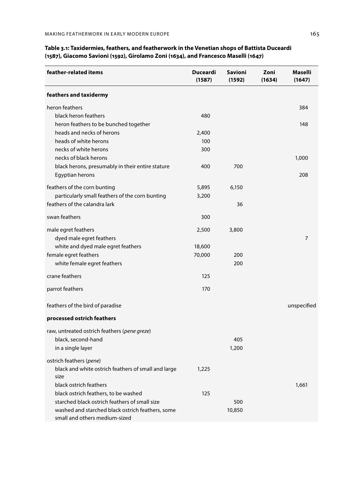| feather-related items                                                             | Duceardi<br>(1587) | <b>Savioni</b><br>(1592) | Zoni<br>(1634) | Maselli<br>(1647) |
|-----------------------------------------------------------------------------------|--------------------|--------------------------|----------------|-------------------|
| feathers and taxidermy                                                            |                    |                          |                |                   |
| heron feathers                                                                    |                    |                          |                | 384               |
| black heron feathers                                                              | 480                |                          |                |                   |
| heron feathers to be bunched together                                             |                    |                          |                | 148               |
| heads and necks of herons                                                         | 2,400              |                          |                |                   |
| heads of white herons                                                             | 100                |                          |                |                   |
| necks of white herons                                                             | 300                |                          |                |                   |
| necks of black herons                                                             |                    |                          |                | 1,000             |
| black herons, presumably in their entire stature                                  | 400                | 700                      |                |                   |
| Egyptian herons                                                                   |                    |                          |                | 208               |
| feathers of the corn bunting                                                      | 5,895              | 6,150                    |                |                   |
| particularly small feathers of the corn bunting                                   | 3,200              |                          |                |                   |
| feathers of the calandra lark                                                     |                    | 36                       |                |                   |
| swan feathers                                                                     | 300                |                          |                |                   |
| male egret feathers                                                               | 2,500              | 3,800                    |                |                   |
| dyed male egret feathers                                                          |                    |                          |                | $\overline{7}$    |
| white and dyed male egret feathers                                                | 18,600             |                          |                |                   |
| female egret feathers                                                             | 70,000             | 200                      |                |                   |
| white female egret feathers                                                       |                    | 200                      |                |                   |
| crane feathers                                                                    | 125                |                          |                |                   |
| parrot feathers                                                                   | 170                |                          |                |                   |
| feathers of the bird of paradise                                                  |                    |                          |                | unspecified       |
| processed ostrich feathers                                                        |                    |                          |                |                   |
| raw, untreated ostrich feathers (pene greze)                                      |                    |                          |                |                   |
| black, second-hand                                                                |                    | 405                      |                |                   |
| in a single layer                                                                 |                    | 1,200                    |                |                   |
| ostrich feathers (pene)                                                           |                    |                          |                |                   |
| black and white ostrich feathers of small and large                               | 1,225              |                          |                |                   |
| size                                                                              |                    |                          |                |                   |
| black ostrich feathers                                                            |                    |                          |                | 1,661             |
| black ostrich feathers, to be washed                                              | 125                |                          |                |                   |
| starched black ostrich feathers of small size                                     |                    | 500                      |                |                   |
| washed and starched black ostrich feathers, some<br>small and others medium-sized |                    | 10,850                   |                |                   |

#### **Table 3.1: Taxidermies, feathers, and featherwork in the Venetian shops of Battista Duceardi (1587), Giacomo Savioni (1592), Girolamo Zoni (1634), and Francesco Maselli (1647)**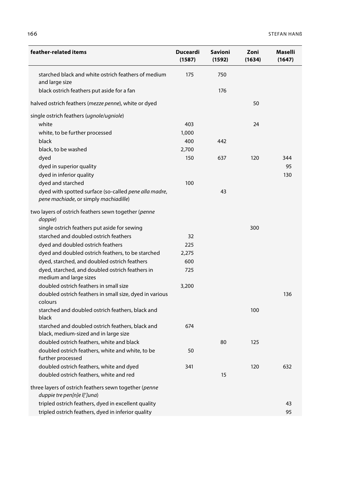| feather-related items                                                                          | Duceardi<br>(1587) | Savioni<br>(1592) | Zoni<br>(1634) | Maselli<br>(1647) |
|------------------------------------------------------------------------------------------------|--------------------|-------------------|----------------|-------------------|
| starched black and white ostrich feathers of medium<br>and large size                          | 175                | 750               |                |                   |
| black ostrich feathers put aside for a fan                                                     |                    | 176               |                |                   |
| halved ostrich feathers (mezze penne), white or dyed                                           |                    |                   | 50             |                   |
| single ostrich feathers (ugnole/ugniole)                                                       |                    |                   |                |                   |
| white                                                                                          | 403                |                   | 24             |                   |
| white, to be further processed                                                                 | 1,000              |                   |                |                   |
| black                                                                                          | 400                | 442               |                |                   |
| black, to be washed                                                                            | 2,700              |                   |                |                   |
| dyed                                                                                           | 150                | 637               | 120            | 344               |
| dyed in superior quality                                                                       |                    |                   |                | 95                |
| dyed in inferior quality                                                                       |                    |                   |                | 130               |
| dyed and starched                                                                              | 100                |                   |                |                   |
| dyed with spotted surface (so-called pene alla madre,<br>pene machiade, or simply machiadille) |                    | 43                |                |                   |
| two layers of ostrich feathers sewn together (penne<br>doppie)                                 |                    |                   |                |                   |
| single ostrich feathers put aside for sewing                                                   |                    |                   | 300            |                   |
| starched and doubled ostrich feathers                                                          | 32                 |                   |                |                   |
| dyed and doubled ostrich feathers                                                              | 225                |                   |                |                   |
| dyed and doubled ostrich feathers, to be starched                                              | 2,275              |                   |                |                   |
| dyed, starched, and doubled ostrich feathers                                                   | 600                |                   |                |                   |
| dyed, starched, and doubled ostrich feathers in                                                | 725                |                   |                |                   |
| medium and large sizes                                                                         |                    |                   |                |                   |
| doubled ostrich feathers in small size                                                         | 3,200              |                   |                |                   |
| doubled ostrich feathers in small size, dyed in various<br>colours                             |                    |                   |                | 136               |
| starched and doubled ostrich feathers, black and<br>black                                      |                    |                   | 100            |                   |
| starched and doubled ostrich feathers, black and<br>black, medium-sized and in large size      | 674                |                   |                |                   |
| doubled ostrich feathers, white and black                                                      |                    | 80                | 125            |                   |
| doubled ostrich feathers, white and white, to be<br>further processed                          | 50                 |                   |                |                   |
| doubled ostrich feathers, white and dyed                                                       | 341                |                   | 120            | 632               |
| doubled ostrich feathers, white and red                                                        |                    | 15                |                |                   |
| three layers of ostrich feathers sewn together (penne<br>duppie tre pen[n]e l[']una)           |                    |                   |                |                   |
| tripled ostrich feathers, dyed in excellent quality                                            |                    |                   |                | 43                |
| tripled ostrich feathers, dyed in inferior quality                                             |                    |                   |                | 95                |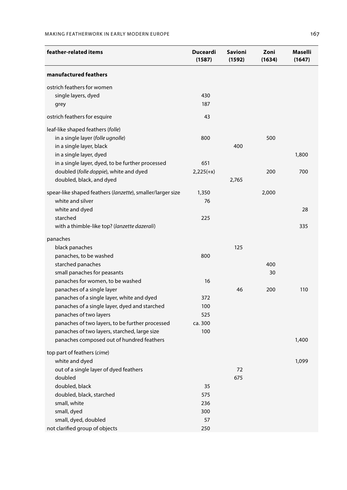#### Making Featherwork in Early Modern Europe 167

| feather-related items                                      | Duceardi<br>(1587) | <b>Savioni</b><br>(1592) | Zoni<br>(1634) | Maselli<br>(1647) |
|------------------------------------------------------------|--------------------|--------------------------|----------------|-------------------|
| manufactured feathers                                      |                    |                          |                |                   |
| ostrich feathers for women                                 |                    |                          |                |                   |
| single layers, dyed                                        | 430                |                          |                |                   |
| grey                                                       | 187                |                          |                |                   |
| ostrich feathers for esquire                               | 43                 |                          |                |                   |
| leaf-like shaped feathers (folle)                          |                    |                          |                |                   |
| in a single layer (folle ugnolle)                          | 800                |                          | 500            |                   |
| in a single layer, black                                   |                    | 400                      |                |                   |
| in a single layer, dyed                                    |                    |                          |                | 1,800             |
| in a single layer, dyed, to be further processed           | 651                |                          |                |                   |
| doubled (folle doppie), white and dyed                     | $2,225(+x)$        |                          | 200            | 700               |
| doubled, black, and dyed                                   |                    | 2,765                    |                |                   |
|                                                            |                    |                          |                |                   |
| spear-like shaped feathers (lanzette), smaller/larger size | 1,350              |                          | 2,000          |                   |
| white and silver                                           | 76                 |                          |                |                   |
| white and dyed                                             |                    |                          |                | 28                |
| starched                                                   | 225                |                          |                |                   |
| with a thimble-like top? (lanzette dazerali)               |                    |                          |                | 335               |
| panaches                                                   |                    |                          |                |                   |
| black panaches                                             |                    | 125                      |                |                   |
| panaches, to be washed                                     | 800                |                          |                |                   |
| starched panaches                                          |                    |                          | 400            |                   |
| small panaches for peasants                                |                    |                          | 30             |                   |
| panaches for women, to be washed                           | 16                 |                          |                |                   |
| panaches of a single layer                                 |                    | 46                       | 200            | 110               |
| panaches of a single layer, white and dyed                 | 372                |                          |                |                   |
| panaches of a single layer, dyed and starched              | 100                |                          |                |                   |
| panaches of two layers                                     | 525                |                          |                |                   |
| panaches of two layers, to be further processed            | ca. 300            |                          |                |                   |
| panaches of two layers, starched, large size               | 100                |                          |                |                   |
| panaches composed out of hundred feathers                  |                    |                          |                | 1,400             |
| top part of feathers (cime)                                |                    |                          |                |                   |
| white and dyed                                             |                    |                          |                | 1,099             |
| out of a single layer of dyed feathers                     |                    | $\sqrt{2}$               |                |                   |
| doubled                                                    |                    | 675                      |                |                   |
| doubled, black                                             | 35                 |                          |                |                   |
| doubled, black, starched                                   | 575                |                          |                |                   |
| small, white                                               | 236                |                          |                |                   |
| small, dyed                                                | 300                |                          |                |                   |
| small, dyed, doubled                                       | 57                 |                          |                |                   |
| not clarified group of objects                             | 250                |                          |                |                   |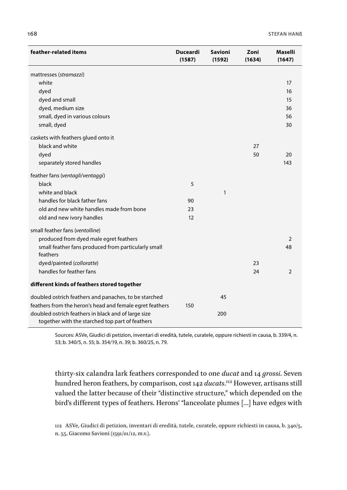| feather-related items                                                                                  | <b>Duceardi</b><br>(1587) | Savioni<br>(1592) | Zoni<br>(1634) | Maselli<br>(1647) |
|--------------------------------------------------------------------------------------------------------|---------------------------|-------------------|----------------|-------------------|
| mattresses (stramazzi)                                                                                 |                           |                   |                |                   |
| white                                                                                                  |                           |                   |                | 17                |
| dyed                                                                                                   |                           |                   |                | 16                |
| dyed and small                                                                                         |                           |                   |                | 15                |
| dyed, medium size                                                                                      |                           |                   |                | 36                |
| small, dyed in various colours                                                                         |                           |                   |                | 56                |
| small, dyed                                                                                            |                           |                   |                | 30                |
| caskets with feathers glued onto it                                                                    |                           |                   |                |                   |
| black and white                                                                                        |                           |                   | 27             |                   |
| dyed                                                                                                   |                           |                   | 50             | 20                |
| separately stored handles                                                                              |                           |                   |                | 143               |
| feather fans (ventagli/ventaggi)                                                                       |                           |                   |                |                   |
| black                                                                                                  | 5                         |                   |                |                   |
| white and black                                                                                        |                           | 1                 |                |                   |
| handles for black father fans                                                                          | 90                        |                   |                |                   |
| old and new white handles made from bone                                                               | 23                        |                   |                |                   |
| old and new ivory handles                                                                              | 12                        |                   |                |                   |
| small feather fans (ventolline)                                                                        |                           |                   |                |                   |
| produced from dyed male egret feathers                                                                 |                           |                   |                | 2                 |
| small feather fans produced from particularly small                                                    |                           |                   |                | 48                |
| feathers                                                                                               |                           |                   |                |                   |
| dyed/painted (colloratte)                                                                              |                           |                   | 23             |                   |
| handles for feather fans                                                                               |                           |                   | 24             | 2                 |
| different kinds of feathers stored together                                                            |                           |                   |                |                   |
| doubled ostrich feathers and panaches, to be starched                                                  |                           | 45                |                |                   |
| feathers from the heron's head and female egret feathers                                               | 150                       |                   |                |                   |
| doubled ostrich feathers in black and of large size<br>together with the starched top part of feathers |                           | 200               |                |                   |

Sources: ASVe, Giudici di petizion, inventari di eredità, tutele, curatele, oppure richiesti in causa, b. 339/4, n. 53; b. 340/5, n. 55; b. 354/19, n. 39; b. 360/25, n. 79.

thirty-six calandra lark feathers corresponded to one *ducat* and 14 *grossi*. Seven hundred heron feathers, by comparison, cost 142 *ducats*.<sup>112</sup> However, artisans still valued the latter because of their "distinctive structure," which depended on the bird's different types of feathers. Herons' "lanceolate plumes […] have edges with

112 ASVe, Giudici di petizion, inventari di eredità, tutele, curatele, oppure richiesti in causa, b. 340/5, n. 55, Giacomo Savioni (1591/01/12, m.v.).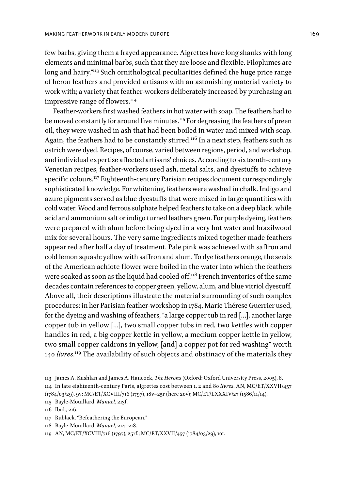few barbs, giving them a frayed appearance. Aigrettes have long shanks with long elements and minimal barbs, such that they are loose and flexible. Filoplumes are long and hairy."<sup>113</sup> Such ornithological peculiarities defined the huge price range of heron feathers and provided artisans with an astonishing material variety to work with; a variety that feather-workers deliberately increased by purchasing an impressive range of flowers.<sup>114</sup>

Feather-workers first washed feathers in hot water with soap. The feathers had to be moved constantly for around five minutes.<sup>115</sup> For degreasing the feathers of preen oil, they were washed in ash that had been boiled in water and mixed with soap. Again, the feathers had to be constantly stirred.<sup>116</sup> In a next step, feathers such as ostrich were dyed. Recipes, of course, varied between regions, period, and workshop, and individual expertise affected artisans' choices. According to sixteenth-century Venetian recipes, feather-workers used ash, metal salts, and dyestuffs to achieve specific colours.<sup>117</sup> Eighteenth-century Parisian recipes document correspondingly sophisticated knowledge. For whitening, feathers were washed in chalk. Indigo and azure pigments served as blue dyestuffs that were mixed in large quantities with cold water. Wood and ferrous sulphate helped feathers to take on a deep black, while acid and ammonium salt or indigo turned feathers green. For purple dyeing, feathers were prepared with alum before being dyed in a very hot water and brazilwood mix for several hours. The very same ingredients mixed together made feathers appear red after half a day of treatment. Pale pink was achieved with saffron and cold lemon squash; yellow with saffron and alum. To dye feathers orange, the seeds of the American achiote flower were boiled in the water into which the feathers were soaked as soon as the liquid had cooled off.<sup>118</sup> French inventories of the same decades contain references to copper green, yellow, alum, and blue vitriol dyestuff. Above all, their descriptions illustrate the material surrounding of such complex procedures: in her Parisian feather-workshop in 1784, Marie Thérese Guerrier used, for the dyeing and washing of feathers, "a large copper tub in red […], another large copper tub in yellow […], two small copper tubs in red, two kettles with copper handles in red, a big copper kettle in yellow, a medium copper kettle in yellow, two small copper caldrons in yellow, [and] a copper pot for red-washing" worth 140 *livres*.<sup>119</sup> The availability of such objects and obstinacy of the materials they

- 117 Rublack, "Befeathering the European."
- 118 Bayle-Mouillard, *Manuel*, 214–218.
- 119 AN, MC/ET/XCVIII/716 (1797), 25rf.; MC/ET/XXVII/457 (1784/03/29), 10r.

<sup>113</sup> James A. Kushlan and James A. Hancock, *The Herons* (Oxford: Oxford University Press, 2005), 8.

<sup>114</sup> In late eighteenth-century Paris, aigrettes cost between 1, 2 and 80 *livres*. AN, MC/ET/XXVII/457

<sup>(1784/03/29), 9</sup>v; MC/ET/XCVIII/716 (1797), 18v–25r (here 20v); MC/ET/LXXXIV/27 (1586/11/14).

<sup>115</sup> Bayle-Mouillard, *Manuel*, 213f.

<sup>116</sup> Ibid., 216.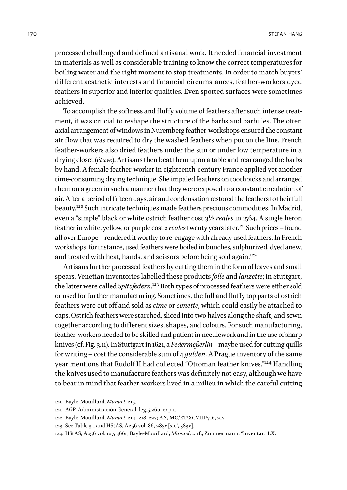processed challenged and defined artisanal work. It needed financial investment in materials as well as considerable training to know the correct temperatures for boiling water and the right moment to stop treatments. In order to match buyers' different aesthetic interests and financial circumstances, feather-workers dyed feathers in superior and inferior qualities. Even spotted surfaces were sometimes achieved.

To accomplish the softness and fluffy volume of feathers after such intense treatment, it was crucial to reshape the structure of the barbs and barbules. The often axial arrangement of windows in Nuremberg feather-workshops ensured the constant air flow that was required to dry the washed feathers when put on the line. French feather-workers also dried feathers under the sun or under low temperature in a drying closet (*étuve*). Artisans then beat them upon a table and rearranged the barbs by hand. A female feather-worker in eighteenth-century France applied yet another time-consuming drying technique. She impaled feathers on toothpicks and arranged them on a green in such a manner that they were exposed to a constant circulation of air. After a period of fifteen days, air and condensation restored the feathers to their full beauty.120 Such intricate techniques made feathers precious commodities. In Madrid, even a "simple" black or white ostrich feather cost 3½ *reales* in 1564. A single heron feather in white, yellow, or purple cost 2 *reales* twenty years later.<sup>121</sup> Such prices – found all over Europe – rendered it worthy to re-engage with already used feathers. In French workshops, for instance, used feathers were boiled in bunches, sulphurized, dyed anew, and treated with heat, hands, and scissors before being sold again.<sup>122</sup>

Artisans further processed feathers by cutting them in the form of leaves and small spears. Venetian inventories labelled these products *folle* and *lanzette*; in Stuttgart, the latter were called *Spitzfedern*. 123 Both types of processed feathers were either sold or used for further manufacturing. Sometimes, the full and fluffy top parts of ostrich feathers were cut off and sold as *cime* or *cimette*, which could easily be attached to caps. Ostrich feathers were starched, sliced into two halves along the shaft, and sewn together according to different sizes, shapes, and colours. For such manufacturing, feather-workers needed to be skilled and patient in needlework and in the use of sharp knives (cf. Fig. 3.11). In Stuttgart in 1621, a *Federmeßerlin –* maybe used for cutting quills for writing – cost the considerable sum of 4 *gulden*. A Prague inventory of the same year mentions that Rudolf II had collected "Ottoman feather knives."<sup>124</sup> Handling the knives used to manufacture feathers was definitely not easy, although we have to bear in mind that feather-workers lived in a milieu in which the careful cutting

<sup>120</sup> Bayle-Mouillard, *Manuel*, 215.

<sup>121</sup> AGP, Administración General, leg.5.260, exp.1.

<sup>122</sup> Bayle-Mouillard, *Manuel*, 214–218, 227; AN, MC/ET/XCVIII/716, 21v.

<sup>123</sup> See Table 3.1 and HStAS, A256 vol. 86, 283v [sic!, 383v].

<sup>124</sup> HStAS, A256 vol. 107, 366r; Bayle-Mouillard, *Manuel*, 211f.; Zimmermann, "Inventar," LX.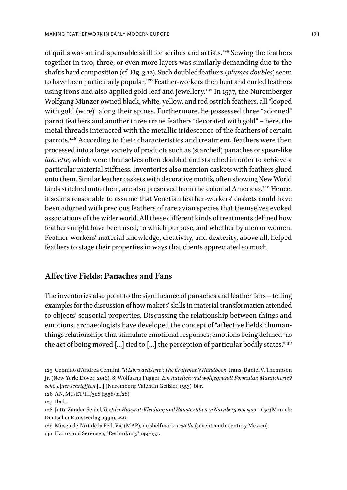of quills was an indispensable skill for scribes and artists.125 Sewing the feathers together in two, three, or even more layers was similarly demanding due to the shaft's hard composition (cf. Fig. 3.12). Such doubled feathers (*plumes doubles*) seem to have been particularly popular.<sup>126</sup> Feather-workers then bent and curled feathers using irons and also applied gold leaf and jewellery.<sup>127</sup> In 1577, the Nuremberger Wolfgang Münzer owned black, white, yellow, and red ostrich feathers, all "looped with gold (wire)" along their spines. Furthermore, he possessed three "adorned" parrot feathers and another three crane feathers "decorated with gold" – here, the metal threads interacted with the metallic iridescence of the feathers of certain parrots.<sup>128</sup> According to their characteristics and treatment, feathers were then processed into a large variety of products such as (starched) panaches or spear-like *lanzette*, which were themselves often doubled and starched in order to achieve a particular material stiffness. Inventories also mention caskets with feathers glued onto them. Similar leather caskets with decorative motifs, often showing New World birds stitched onto them, are also preserved from the colonial Americas.<sup>129</sup> Hence, it seems reasonable to assume that Venetian feather-workers' caskets could have been adorned with precious feathers of rare avian species that themselves evoked associations of the wider world. All these different kinds of treatments defined how feathers might have been used, to which purpose, and whether by men or women. Feather-workers' material knowledge, creativity, and dexterity, above all, helped feathers to stage their properties in ways that clients appreciated so much.

#### **Affective Fields: Panaches and Fans**

The inventories also point to the significance of panaches and feather fans – telling examples for the discussion of how makers' skills in material transformation attended to objects' sensorial properties. Discussing the relationship between things and emotions, archaeologists have developed the concept of "affective fields": humanthings relationships that stimulate emotional responses; emotions being defined "as the act of being moved [...] tied to [...] the perception of particular bodily states."<sup>30</sup>

126 AN, MC/ET/III/308 (1558/01/28).

<sup>125</sup> Cennino d'Andrea Cennini, *"Il Libro dell'Arte": The Craftman's Handbook*, trans. Daniel V. Thompson Jr. (New York: Dover, 2016), 8; Wolfgang Fugger, *Ein nutzlich vnd wolgegrundt Formular, Manncherleÿ scho[e]ner schriefften* […] (Nuremberg: Valentin Geißler, 1553), bijr.

<sup>127</sup> Ibid.

<sup>128</sup> Jutta Zander-Seidel, *Textiler Hausrat: Kleidung und Haustextilien in Nürnberg von 1500–1650* (Munich: Deutscher Kunstverlag, 1990), 226.

<sup>129</sup> Museu de l'Art de la Pell, Vic (MAP), no shelfmark, *cistella* (seventeenth-century Mexico).

<sup>130</sup> Harris and Sørensen, "Rethinking," 149–153.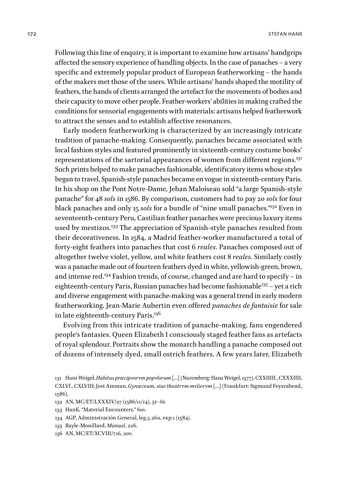Following this line of enquiry, it is important to examine how artisans' handgrips affected the sensory experience of handling objects. In the case of panaches – a very specific and extremely popular product of European featherworking – the hands of the makers met those of the users. While artisans' hands shaped the motility of feathers, the hands of clients arranged the artefact for the movements of bodies and their capacity to move other people. Feather-workers' abilities in making crafted the conditions for sensorial engagements with materials: artisans helped featherwork to attract the senses and to establish affective resonances.

Early modern featherworking is characterized by an increasingly intricate tradition of panache-making. Consequently, panaches became associated with local fashion styles and featured prominently in sixteenth-century costume books' representations of the sartorial appearances of women from different regions.<sup>131</sup> Such prints helped to make panaches fashionable, identificatory items whose styles began to travel. Spanish-style panaches became en vogue in sixteenth-century Paris. In his shop on the Pont Notre-Dame, Jehan Maloiseau sold "a large Spanish-style panache" for 48 *sols* in 1586. By comparison, customers had to pay 20 *sols* for four black panaches and only 15 *sols* for a bundle of "nine small panaches."132 Even in seventeenth-century Peru, Castilian feather panaches were precious luxury items used by mestizos.<sup>133</sup> The appreciation of Spanish-style panaches resulted from their decorativeness. In 1584, a Madrid feather-worker manufactured a total of forty-eight feathers into panaches that cost 6 *reales*. Panaches composed out of altogether twelve violet, yellow, and white feathers cost 8 *reales*. Similarly costly was a panache made out of fourteen feathers dyed in white, yellowish-green, brown, and intense red.134 Fashion trends, of course, changed and are hard to specify – in eighteenth-century Paris, Russian panaches had become fashionable<sup>135</sup> – yet a rich and diverse engagement with panache-making was a general trend in early modern featherworking. Jean-Marie Aubertin even offered *panaches de fantaisie* for sale in late eighteenth-century Paris.<sup>136</sup>

Evolving from this intricate tradition of panache-making, fans engendered people's fantasies. Queen Elizabeth I consciously staged feather fans as artefacts of royal splendour. Portraits show the monarch handling a panache composed out of dozens of intensely dyed, small ostrich feathers. A few years later, Elizabeth

- 132 AN, MC/ET/LXXXIV/27 (1586/11/14), 5r–6r.
- 133 Hanß, "Material Encounters," 601.
- 134 AGP, Administración General, leg.5.260, exp.1 (1584).
- 135 Bayle-Mouillard, *Manuel*, 226.
- 136 AN, MC/ET/XCVIII/716, 20v.

<sup>131</sup> Hans Weigel, *Habitus præcipvorvm popvlorum* […] (Nuremberg: Hans Weigel, 1577), CXXIIIIf., CXXXIIII, CXLVf., CXLVIII; Jost Amman, *Gynæceum, siue theatrvm mvliervm* […] (Frankfurt: Sigmund Feyerabend, 1586).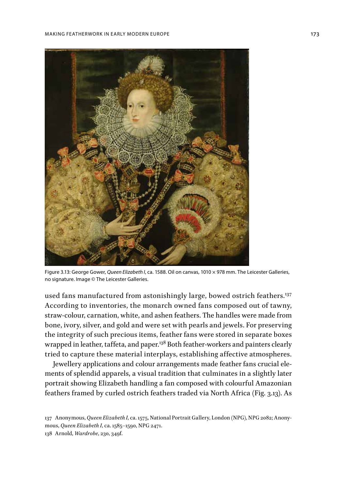

Figure 3.13: George Gower, *Queen Elizabeth I*, ca. 1588. Oil on canvas, 1010 × 978 mm. The Leicester Galleries, no signature. Image © The Leicester Galleries.

used fans manufactured from astonishingly large, bowed ostrich feathers.<sup>137</sup> According to inventories, the monarch owned fans composed out of tawny, straw-colour, carnation, white, and ashen feathers. The handles were made from bone, ivory, silver, and gold and were set with pearls and jewels. For preserving the integrity of such precious items, feather fans were stored in separate boxes wrapped in leather, taffeta, and paper.<sup>138</sup> Both feather-workers and painters clearly tried to capture these material interplays, establishing affective atmospheres.

Jewellery applications and colour arrangements made feather fans crucial elements of splendid apparels, a visual tradition that culminates in a slightly later portrait showing Elizabeth handling a fan composed with colourful Amazonian feathers framed by curled ostrich feathers traded via North Africa (Fig. 3.13). As

<sup>137</sup> Anonymous, *Queen Elizabeth I*, ca. 1575, National Portrait Gallery, London (NPG), NPG 2082; Anonymous, *Queen Elizabeth I*, ca. 1585–1590, NPG 2471. 138 Arnold, *Wardrobe*, 230, 349f.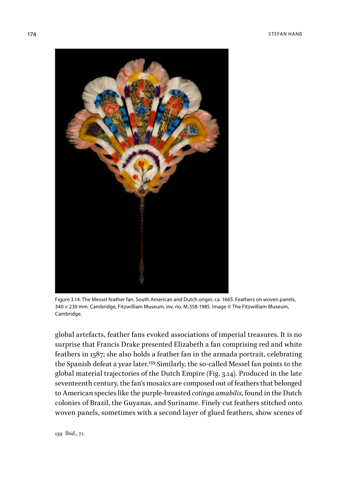

Figure 3.14: The Messel feather fan. South American and Dutch origin, ca. 1665. Feathers on woven panels, 340 × 230 mm. Cambridge, Fitzwilliam Museum, inv. no. M.358-1985. Image © The Fitzwilliam Museum, Cambridge.

global artefacts, feather fans evoked associations of imperial treasures. It is no surprise that Francis Drake presented Elizabeth a fan comprising red and white feathers in 1587; she also holds a feather fan in the armada portrait, celebrating the Spanish defeat a year later.<sup>139</sup> Similarly, the so-called Messel fan points to the global material trajectories of the Dutch Empire (Fig. 3.14). Produced in the late seventeenth century, the fan's mosaics are composed out of feathers that belonged to American species like the purple-breasted *cotinga amabilis*, found in the Dutch colonies of Brazil, the Guyanas, and Suriname. Finely cut feathers stitched onto woven panels, sometimes with a second layer of glued feathers, show scenes of

139 Ibid., 71.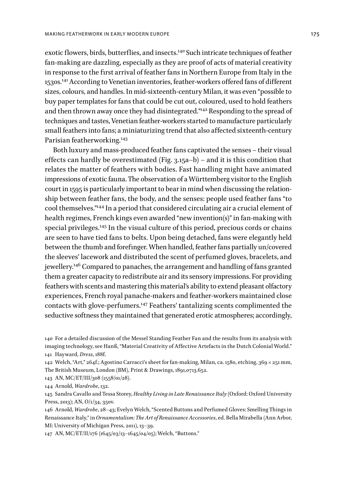exotic flowers, birds, butterflies, and insects.<sup>140</sup> Such intricate techniques of feather fan-making are dazzling, especially as they are proof of acts of material creativity in response to the first arrival of feather fans in Northern Europe from Italy in the 1530s.141 According to Venetian inventories, feather-workers offered fans of different sizes, colours, and handles. In mid-sixteenth-century Milan, it was even "possible to buy paper templates for fans that could be cut out, coloured, used to hold feathers and then thrown away once they had disintegrated."142 Responding to the spread of techniques and tastes, Venetian feather-workers started to manufacture particularly small feathers into fans; a miniaturizing trend that also affected sixteenth-century Parisian featherworking.<sup>143</sup>

Both luxury and mass-produced feather fans captivated the senses – their visual effects can hardly be overestimated (Fig. 3.15a–b) – and it is this condition that relates the matter of feathers with bodies. Fast handling might have animated impressions of exotic fauna. The observation of a Württemberg visitor to the English court in 1595 is particularly important to bear in mind when discussing the relationship between feather fans, the body, and the senses: people used feather fans "to cool themselves."144 In a period that considered circulating air a crucial element of health regimes, French kings even awarded "new invention(s)" in fan-making with special privileges.145 In the visual culture of this period, precious cords or chains are seen to have tied fans to belts. Upon being detached, fans were elegantly held between the thumb and forefinger. When handled, feather fans partially un/covered the sleeves' lacework and distributed the scent of perfumed gloves, bracelets, and jewellery.<sup>146</sup> Compared to panaches, the arrangement and handling of fans granted them a greater capacity to redistribute air and its sensory impressions. For providing feathers with scents and mastering this material's ability to extend pleasant olfactory experiences, French royal panache-makers and feather-workers maintained close contacts with glove-perfumers.147 Feathers' tantalizing scents complimented the seductive softness they maintained that generated erotic atmospheres; accordingly,

143 AN, MC/ET/III/308 (1558/01/28).

144 Arnold, *Wardrobe*, 132.

145 Sandra Cavallo and Tessa Storey, *Healthy Living in Late Renaissance Italy* (Oxford: Oxford University Press, 2013); AN, O/1/34, 350v.

146 Arnold, *Wardrobe*, 28–43; Evelyn Welch, "Scented Buttons and Perfumed Gloves: Smelling Things in Renaissance Italy," in *Ornamentalism: The Art of Renaissance Accessories*, ed. Bella Mirabella (Ann Arbor, MI: University of Michigan Press, 2011), 13–39.

147 AN, MC/ET/II/176 (1645/03/13–1645/04/05); Welch, "Buttons."

<sup>140</sup> For a detailed discussion of the Messel Standing Feather Fan and the results from its analysis with imaging technology, see Hanß, "Material Creativity of Affective Artefacts in the Dutch Colonial World." 141 Hayward, *Dress*, 188f.

<sup>142</sup> Welch, "Art," 264f.; Agostino Carracci's sheet for fan-making, Milan, ca. 1580, etching, 369 × 251 mm, The British Museum, London (BM), Print & Drawings, 1891,0713.652.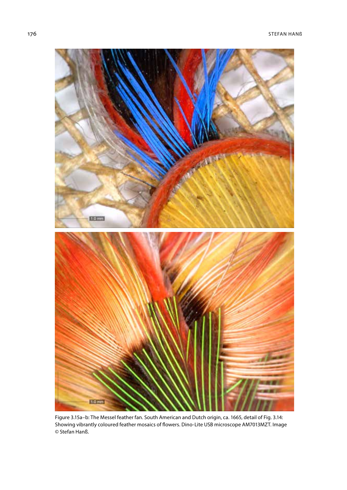176 STEFAN HANß



Figure 3.15a–b: The Messel feather fan. South American and Dutch origin, ca. 1665, detail of Fig. 3.14: Showing vibrantly coloured feather mosaics of flowers. Dino-Lite USB microscope AM7013MZT . Image © Stefan Hanß.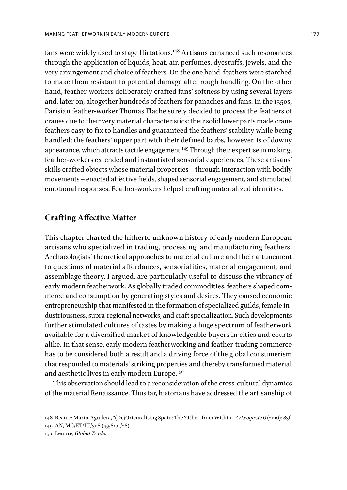fans were widely used to stage flirtations.148 Artisans enhanced such resonances through the application of liquids, heat, air, perfumes, dyestuffs, jewels, and the very arrangement and choice of feathers. On the one hand, feathers were starched to make them resistant to potential damage after rough handling. On the other hand, feather-workers deliberately crafted fans' softness by using several layers and, later on, altogether hundreds of feathers for panaches and fans. In the 1550s, Parisian feather-worker Thomas Flache surely decided to process the feathers of cranes due to their very material characteristics: their solid lower parts made crane feathers easy to fix to handles and guaranteed the feathers' stability while being handled; the feathers' upper part with their defined barbs, however, is of downy appearance, which attracts tactile engagement.149 Through their expertise in making, feather-workers extended and instantiated sensorial experiences. These artisans' skills crafted objects whose material properties – through interaction with bodily movements – enacted affective fields, shaped sensorial engagement, and stimulated emotional responses. Feather-workers helped crafting materialized identities.

#### **Crafting Affective Matter**

This chapter charted the hitherto unknown history of early modern European artisans who specialized in trading, processing, and manufacturing feathers. Archaeologists' theoretical approaches to material culture and their attunement to questions of material affordances, sensorialities, material engagement, and assemblage theory, I argued, are particularly useful to discuss the vibrancy of early modern featherwork. As globally traded commodities, feathers shaped commerce and consumption by generating styles and desires. They caused economic entrepreneurship that manifested in the formation of specialized guilds, female industriousness, supra-regional networks, and craft specialization. Such developments further stimulated cultures of tastes by making a huge spectrum of featherwork available for a diversified market of knowledgeable buyers in cities and courts alike. In that sense, early modern featherworking and feather-trading commerce has to be considered both a result and a driving force of the global consumerism that responded to materials' striking properties and thereby transformed material and aesthetic lives in early modern Europe.<sup>150</sup>

This observation should lead to a reconsideration of the cross-cultural dynamics of the material Renaissance. Thus far, historians have addressed the artisanship of

<sup>148</sup> Beatriz Marín-Aguilera, "(De)Orientalising Spain: The 'Other' from Within," *Arkeogazte* 6 (2016): 83f.

<sup>149</sup> AN, MC/ET/III/308 (1558/01/28).

<sup>150</sup> Lemire, *Global Trade*.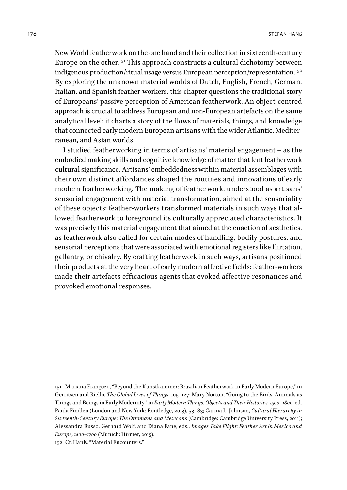New World featherwork on the one hand and their collection in sixteenth-century Europe on the other.<sup>151</sup> This approach constructs a cultural dichotomy between indigenous production/ritual usage versus European perception/representation.<sup>152</sup> By exploring the unknown material worlds of Dutch, English, French, German, Italian, and Spanish feather-workers, this chapter questions the traditional story of Europeans' passive perception of American featherwork. An object-centred approach is crucial to address European and non-European artefacts on the same analytical level: it charts a story of the flows of materials, things, and knowledge that connected early modern European artisans with the wider Atlantic, Mediterranean, and Asian worlds.

I studied featherworking in terms of artisans' material engagement – as the embodied making skills and cognitive knowledge of matter that lent featherwork cultural significance. Artisans' embeddedness within material assemblages with their own distinct affordances shaped the routines and innovations of early modern featherworking. The making of featherwork, understood as artisans' sensorial engagement with material transformation, aimed at the sensoriality of these objects: feather-workers transformed materials in such ways that allowed featherwork to foreground its culturally appreciated characteristics. It was precisely this material engagement that aimed at the enaction of aesthetics, as featherwork also called for certain modes of handling, bodily postures, and sensorial perceptions that were associated with emotional registers like flirtation, gallantry, or chivalry. By crafting featherwork in such ways, artisans positioned their products at the very heart of early modern affective fields: feather-workers made their artefacts efficacious agents that evoked affective resonances and provoked emotional responses.

151 Mariana Françozo, "Beyond the Kunstkammer: Brazilian Featherwork in Early Modern Europe," in Gerritsen and Riello, *The Global Lives of Things*, 105–127; Mary Norton, "Going to the Birds: Animals as Things and Beings in Early Modernity," in *Early Modern Things: Objects and Their Histories, 1500–1800*, ed. Paula Findlen (London and New York: Routledge, 2013), 53–83; Carina L. Johnson, *Cultural Hierarchy in Sixteenth-Century Europe: The Ottomans and Mexicans* (Cambridge: Cambridge University Press, 2011); Alessandra Russo, Gerhard Wolf, and Diana Fane, eds., *Images Take Flight: Feather Art in Mexico and Europe, 1400–1700* (Munich: Hirmer, 2015).

152 Cf. Hanß, "Material Encounters."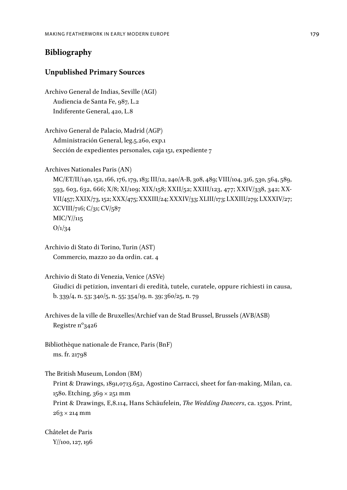# **Bibliography**

## **Unpublished Primary Sources**

Archivo General de Indias, Seville (AGI) Audiencia de Santa Fe, 987, L.2 Indiferente General, 420, L.8

Archivo General de Palacio, Madrid (AGP) Administración General, leg.5.260, exp.1 Sección de expedientes personales, caja 151, expediente 7

Archives Nationales Paris (AN)

MC/ET/II/140, 152, 166, 176, 179, 183; III/12, 240/A-B, 308, 489; VIII/104, 316, 530, 564, 589, 593, 603, 632, 666; X/8; XI/109; XIX/158; XXII/52; XXIII/123, 477; XXIV/338, 342; XX-VII/457; XXIX/73, 152; XXX/475; XXXIII/24; XXXIV/33; XLIII/173; LXXIII/279; LXXXIV/27; XCVIII/716; C/31; CV/587 MIC/Y//115  $O/1/34$ 

Archivio di Stato di Torino, Turin (AST) Commercio, mazzo 20 da ordin. cat. 4

Archivio di Stato di Venezia, Venice (ASVe) Giudici di petizion, inventari di eredità, tutele, curatele, oppure richiesti in causa, b. 339/4, n. 53; 340/5, n. 55; 354/19, n. 39; 360/25, n. 79

Archives de la ville de Bruxelles/Archief van de Stad Brussel, Brussels (AVB/ASB) Registre nº3426

Bibliothèque nationale de France, Paris (BnF) ms. fr. 21798

The British Museum, London (BM)

Print & Drawings, 1891,0713.652, Agostino Carracci, sheet for fan-making, Milan, ca. 1580. Etching, 369 × 251 mm Print & Drawings, E,8.114, Hans Schäufelein, *The Wedding Dancers*, ca. 1530s. Print, 263 × 214 mm

Châtelet de Paris Y//100, 127, 196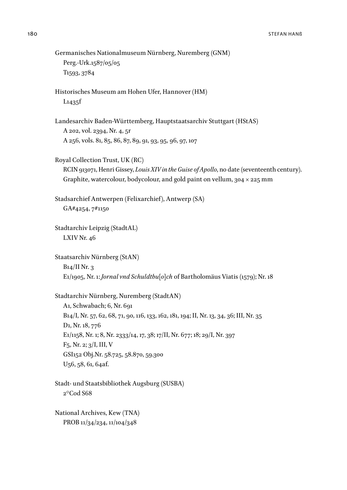```
Germanisches Nationalmuseum Nürnberg, Nuremberg (GNM)
   Perg.-Urk.1587/05/05
  T1593, 3784
Historisches Museum am Hohen Ufer, Hannover (HM)
  L1435f
Landesarchiv Baden-Württemberg, Hauptstaatsarchiv Stuttgart (HStAS)
  A 202, vol. 2394, Nr. 4, 5r
  A 256, vols. 81, 85, 86, 87, 89, 91, 93, 95, 96, 97, 107
Royal Collection Trust, UK (RC)
   RCIN 913071, Henri Gissey, Louis XIV in the Guise of Apollo, no date (seventeenth century). 
   Graphite, watercolour, bodycolour, and gold paint on vellum, 304 × 225 mm
Stadsarchief Antwerpen (Felixarchief), Antwerp (SA)
  GA#4254, 7#1150
Stadtarchiv Leipzig (StadtAL)
  LXIV Nr. 46
Staatsarchiv Nürnberg (StAN)
   B14/II Nr. 3
   E1/1905, Nr. 1: Jornal vnd Schuldtbu[o]ch of Bartholomäus Viatis (1579); Nr. 18
Stadtarchiv Nürnberg, Nuremberg (StadtAN)
  A1, Schwabach; 6, Nr. 691
   B14/I, Nr. 57, 62, 68, 71, 90, 116, 133, 162, 181, 194; II, Nr. 13, 34, 36; III, Nr. 35
  D1, Nr. 18, 776
   E1/1158, Nr. 1; 8, Nr. 2333/14, 17, 38; 17/II, Nr. 677; 18; 29/I, Nr. 397
   F5, Nr. 2; 3/I, III, V
  GSI152 Obj.Nr. 58.725, 58.870, 59.300
   U56, 58, 61, 64af.
Stadt- und Staatsbibliothek Augsburg (SUSBA)
  2°Cod S68
National Archives, Kew (TNA)
   PROB 11/34/234, 11/104/348
```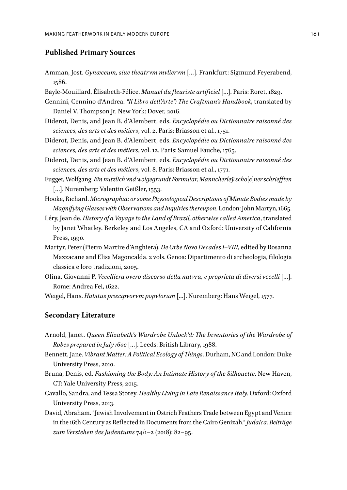#### **Published Primary Sources**

- Amman, Jost. *Gynæceum, siue theatrvm mvliervm* […]. Frankfurt: Sigmund Feyerabend, 1586.
- Bayle-Mouillard, Élisabeth-Félice. *Manuel du fleuriste artificiel* […]. Paris: Roret, 1829.
- Cennini, Cennino d'Andrea. *"Il Libro dell'Arte": The Craftman's Handbook*, translated by Daniel V. Thompson Jr. New York: Dover, 2016.
- Diderot, Denis, and Jean B. d'Alembert, eds. *Encyclopédie ou Dictionnaire raisonné des sciences, des arts et des métiers*, vol. 2. Paris: Briasson et al., 1751.
- Diderot, Denis, and Jean B. d'Alembert, eds. *Encyclopédie ou Dictionnaire raisonné des sciences, des arts et des métiers*, vol. 12. Paris: Samuel Fauche, 1765.
- Diderot, Denis, and Jean B. d'Alembert, eds. *Encyclopédie ou Dictionnaire raisonné des sciences, des arts et des métiers*, vol. 8. Paris: Briasson et al., 1771.
- Fugger, Wolfgang. *Ein nutzlich vnd wolgegrundt Formular, Manncherleÿ scho[e]ner schriefften*  […]. Nuremberg: Valentin Geißler, 1553.
- Hooke, Richard. *Micrographia: or some Physiological Descriptions of Minute Bodies made by Magnifying Glasses with Observations and Inquiries thereupon*. London: John Martyn, 1665.
- Léry, Jean de. *History of a Voyage to the Land of Brazil, otherwise called America*, translated by Janet Whatley. Berkeley and Los Angeles, CA and Oxford: University of California Press, 1990.
- Martyr, Peter (Pietro Martire d'Anghiera). *De Orbe Novo Decades I–VIII*, edited by Rosanna Mazzacane and Elisa Magoncalda. 2 vols. Genoa: Dipartimento di archeologia, filologia classica e loro tradizioni, 2005.
- Olina, Giovanni P. *Vccelliera overo discorso della natvra, e proprieta di diversi vccelli* […]. Rome: Andrea Fei, 1622.
- Weigel, Hans. *Habitus præcipvorvm popvlorum* […]. Nuremberg: Hans Weigel, 1577.

#### **Secondary Literature**

- Arnold, Janet. *Queen Elizabeth's Wardrobe Unlock'd: The Inventories of the Wardrobe of Robes prepared in July 1600* […]. Leeds: British Library, 1988.
- Bennett, Jane. *Vibrant Matter: A Political Ecology of Things*. Durham, NC and London: Duke University Press, 2010.
- Bruna, Denis, ed. *Fashioning the Body: An Intimate History of the Silhouette*. New Haven, CT: Yale University Press, 2015.
- Cavallo, Sandra, and Tessa Storey. *Healthy Living in Late Renaissance Italy*. Oxford: Oxford University Press, 2013.
- David, Abraham. "Jewish Involvement in Ostrich Feathers Trade between Egypt and Venice in the 16th Century as Reflected in Documents from the Cairo Genizah." *Judaica: Beiträge zum Verstehen des Judentums* 74/1–2 (2018): 82–95.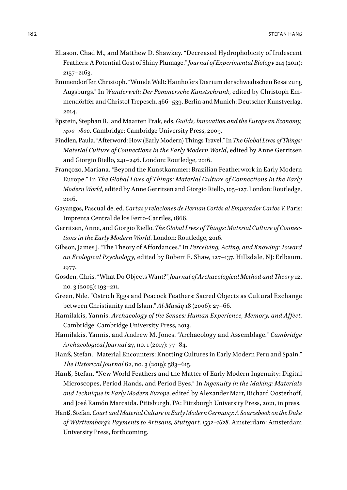- Eliason, Chad M., and Matthew D. Shawkey. "Decreased Hydrophobicity of Iridescent Feathers: A Potential Cost of Shiny Plumage." *Journal of Experimental Biology* 214 (2011): 2157–2163.
- Emmendörffer, Christoph. "Wunde Welt: Hainhofers Diarium der schwedischen Besatzung Augsburgs." In *Wunderwelt: Der Pommersche Kunstschrank*, edited by Christoph Emmendörffer and Christof Trepesch, 466–539. Berlin and Munich: Deutscher Kunstverlag, 2014.
- Epstein, Stephan R., and Maarten Prak, eds. *Guilds, Innovation and the European Economy, 1400–1800*. Cambridge: Cambridge University Press, 2009.
- Findlen, Paula. "Afterword: How (Early Modern) Things Travel." In *The Global Lives of Things: Material Culture of Connections in the Early Modern World*, edited by Anne Gerritsen and Giorgio Riello, 241–246. London: Routledge, 2016.
- Françozo, Mariana. "Beyond the Kunstkammer: Brazilian Featherwork in Early Modern Europe." In *The Global Lives of Things: Material Culture of Connections in the Early Modern World*, edited by Anne Gerritsen and Giorgio Riello, 105–127. London: Routledge, 2016.
- Gayangos, Pascual de, ed. *Cartas y relaciones de Hernan Cortés al Emperador Carlos V*. Paris: Imprenta Central de los Ferro-Carriles, 1866.
- Gerritsen, Anne, and Giorgio Riello. *The Global Lives of Things: Material Culture of Connections in the Early Modern World*. London: Routledge, 2016.
- Gibson, James J. "The Theory of Affordances." In *Perceiving, Acting, and Knowing: Toward an Ecological Psychology*, edited by Robert E. Shaw, 127–137. Hillsdale, NJ: Erlbaum, 1977.
- Gosden, Chris. "What Do Objects Want?" *Journal of Archaeological Method and Theory* 12, no. 3 (2005): 193–211.
- Green, Nile. "Ostrich Eggs and Peacock Feathers: Sacred Objects as Cultural Exchange between Christianity and Islam." *Al-Masāq* 18 (2006): 27–66.
- Hamilakis, Yannis. *Archaeology of the Senses: Human Experience, Memory, and Affect*. Cambridge: Cambridge University Press, 2013.
- Hamilakis, Yannis, and Andrew M. Jones. "Archaeology and Assemblage." *Cambridge Archaeological Journal* 27, no. 1 (2017): 77–84.
- Hanß, Stefan. "Material Encounters: Knotting Cultures in Early Modern Peru and Spain." *The Historical Journal* 62, no. 3 (2019): 583–615.
- Hanß, Stefan. "New World Feathers and the Matter of Early Modern Ingenuity: Digital Microscopes, Period Hands, and Period Eyes." In *Ingenuity in the Making: Materials and Technique in Early Modern Europe*, edited by Alexander Marr, Richard Oosterhoff, and José Ramón Marcaida. Pittsburgh, PA: Pittsburgh University Press, 2021, in press.
- Hanß, Stefan. *Court and Material Culture in Early Modern Germany: A Sourcebook on the Duke of Württemberg's Payments to Artisans, Stuttgart, 1592–1628*. Amsterdam: Amsterdam University Press, forthcoming.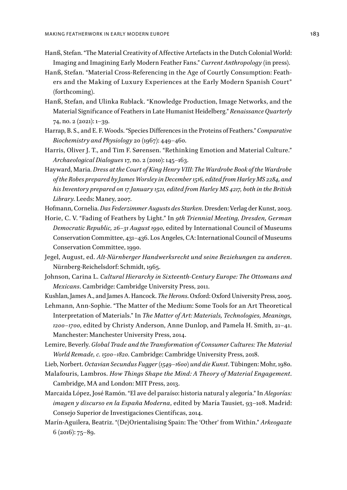- Hanß, Stefan. "The Material Creativity of Affective Artefacts in the Dutch Colonial World: Imaging and Imagining Early Modern Feather Fans." *Current Anthropology* (in press).
- Hanß, Stefan. "Material Cross-Referencing in the Age of Courtly Consumption: Feathers and the Making of Luxury Experiences at the Early Modern Spanish Court" (forthcoming).
- Hanß, Stefan, and Ulinka Rublack. "Knowledge Production, Image Networks, and the Material Significance of Feathers in Late Humanist Heidelberg." *Renaissance Quarterly* 74, no. 2 (2021): 1–39.
- Harrap, B. S., and E. F. Woods. "Species Differences in the Proteins of Feathers." *Comparative Biochemistry and Physiology* 20 (1967): 449–460.
- Harris, Oliver J. T., and Tim F. Sørensen. "Rethinking Emotion and Material Culture." *Archaeological Dialogues* 17, no. 2 (2010): 145–163.
- Hayward, Maria. *Dress at the Court of King Henry VIII: The Wardrobe Book of the Wardrobe of the Robes prepared by James Worsley in December 1516, edited from Harley MS 2284, and his Inventory prepared on 17 January 1521, edited from Harley MS 4217, both in the British Library*. Leeds: Maney, 2007.
- Hofmann, Cornelia. *Das Federzimmer Augusts des Starken*. Dresden: Verlag der Kunst, 2003.

Horie, C. V. "Fading of Feathers by Light." In *9th Triennial Meeting, Dresden, German Democratic Republic, 26–31 August 1990*, edited by International Council of Museums Conservation Committee, 431–436. Los Angeles, CA: International Council of Museums Conservation Committee, 1990.

- Jegel, August, ed. *Alt-Nürnberger Handwerksrecht und seine Beziehungen zu anderen*. Nürnberg-Reichelsdorf: Schmidt, 1965.
- Johnson, Carina L. *Cultural Hierarchy in Sixteenth-Century Europe: The Ottomans and Mexicans*. Cambridge: Cambridge University Press, 2011.
- Kushlan, James A., and James A. Hancock. *The Herons*. Oxford: Oxford University Press, 2005.

Lehmann, Ann-Sophie. "The Matter of the Medium: Some Tools for an Art Theoretical Interpretation of Materials." In *The Matter of Art: Materials, Technologies, Meanings, 1200–1700*, edited by Christy Anderson, Anne Dunlop, and Pamela H. Smith, 21–41. Manchester: Manchester University Press, 2014.

Lemire, Beverly. *Global Trade and the Transformation of Consumer Cultures: The Material World Remade, c. 1500–1820*. Cambridge: Cambridge University Press, 2018.

Lieb, Norbert. *Octavian Secundus Fugger (1549–1600) und die Kunst*. Tübingen: Mohr, 1980.

Malafouris, Lambros. *How Things Shape the Mind: A Theory of Material Engagement*. Cambridge, MA and London: MIT Press, 2013.

Marcaida López, José Ramón. "El ave del paraíso: historia natural y alegoría." In *Alegorías: imagen y discurso en la España Moderna*, edited by María Tausiet, 93–108. Madrid: Consejo Superior de Investigaciones Científicas, 2014.

Marín-Aguilera, Beatriz. "(De)Orientalising Spain: The 'Other' from Within." *Arkeogazte* 6 (2016): 75–89.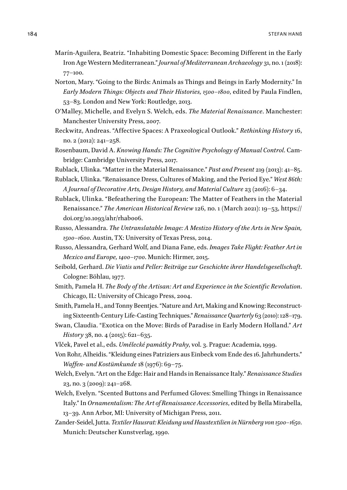- Marín-Aguilera, Beatriz. "Inhabiting Domestic Space: Becoming Different in the Early Iron Age Western Mediterranean." *Journal of Mediterranean Archaeology* 31, no. 1 (2018): 77–100.
- Norton, Mary. "Going to the Birds: Animals as Things and Beings in Early Modernity." In *Early Modern Things: Objects and Their Histories, 1500–1800*, edited by Paula Findlen, 53–83. London and New York: Routledge, 2013.
- O'Malley, Michelle, and Evelyn S. Welch, eds. *The Material Renaissance*. Manchester: Manchester University Press, 2007.
- Reckwitz, Andreas. "Affective Spaces: A Praxeological Outlook." *Rethinking History* 16, no. 2 (2012): 241–258.
- Rosenbaum, David A. *Knowing Hands: The Cognitive Psychology of Manual Control*. Cambridge: Cambridge University Press, 2017.
- Rublack, Ulinka. "Matter in the Material Renaissance." *Past and Present* 219 (2013): 41–85.
- Rublack, Ulinka. "Renaissance Dress, Cultures of Making, and the Period Eye." *West 86th: A Journal of Decorative Arts, Design History, and Material Culture* 23 (2016): 6–34.
- Rublack, Ulinka. "Befeathering the European: The Matter of Feathers in the Material Renaissance." *The American Historical Review* 126, no. 1 (March 2021): 19–53, https:// doi.org/10.1093/ahr/rhab006.
- Russo, Alessandra. *The Untranslatable Image: A Mestizo History of the Arts in New Spain, 1500–1600*. Austin, TX: University of Texas Press, 2014.
- Russo, Alessandra, Gerhard Wolf, and Diana Fane, eds. *Images Take Flight: Feather Art in Mexico and Europe, 1400–1700*. Munich: Hirmer, 2015.
- Seibold, Gerhard. *Die Viatis und Peller: Beiträge zur Geschichte ihrer Handelsgesellschaft*. Cologne: Böhlau, 1977.
- Smith, Pamela H. *The Body of the Artisan: Art and Experience in the Scientific Revolution*. Chicago, IL: University of Chicago Press, 2004.
- Smith, Pamela H., and Tonny Beentjes. "Nature and Art, Making and Knowing: Reconstructing Sixteenth-Century Life-Casting Techniques." *Renaissance Quarterly* 63 (2010): 128–179.
- Swan, Claudia. "Exotica on the Move: Birds of Paradise in Early Modern Holland." *Art History* 38, no. 4 (2015): 621-635.
- Vlček, Pavel et al., eds. *Umělecké památky Prahy*, vol. 3. Prague: Academia, 1999.
- Von Rohr, Alheidis. "Kleidung eines Patriziers aus Einbeck vom Ende des 16. Jahrhunderts." *Waffen- und Kostümkunde* 18 (1976): 69–75.
- Welch, Evelyn. "Art on the Edge: Hair and Hands in Renaissance Italy." *Renaissance Studies* 23, no. 3 (2009): 241–268.
- Welch, Evelyn. "Scented Buttons and Perfumed Gloves: Smelling Things in Renaissance Italy." In *Ornamentalism: The Art of Renaissance Accessories*, edited by Bella Mirabella, 13–39. Ann Arbor, MI: University of Michigan Press, 2011.
- Zander-Seidel, Jutta. *Textiler Hausrat: Kleidung und Haustextilien in Nürnberg von 1500–1650*. Munich: Deutscher Kunstverlag, 1990.